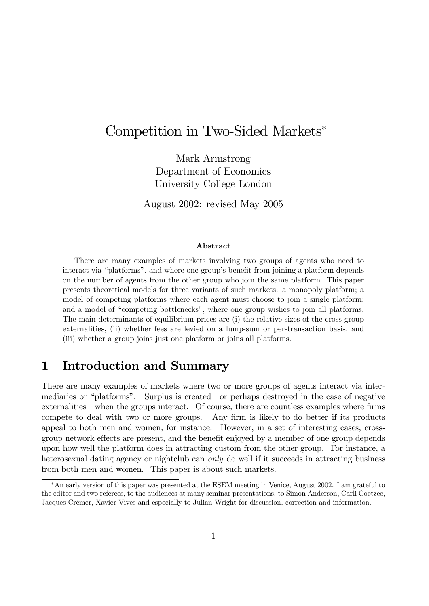# Competition in Two-Sided Markets

Mark Armstrong Department of Economics University College London

August 2002: revised May 2005

#### Abstract

There are many examples of markets involving two groups of agents who need to interact via "platforms", and where one group's benefit from joining a platform depends on the number of agents from the other group who join the same platform. This paper presents theoretical models for three variants of such markets: a monopoly platform; a model of competing platforms where each agent must choose to join a single platform; and a model of "competing bottlenecks", where one group wishes to join all platforms. The main determinants of equilibrium prices are (i) the relative sizes of the cross-group externalities, (ii) whether fees are levied on a lump-sum or per-transaction basis, and (iii) whether a group joins just one platform or joins all platforms.

## 1 Introduction and Summary

There are many examples of markets where two or more groups of agents interact via intermediaries or "platforms". Surplus is created—or perhaps destroyed in the case of negative externalities—when the groups interact. Of course, there are countless examples where firms compete to deal with two or more groups. Any firm is likely to do better if its products appeal to both men and women, for instance. However, in a set of interesting cases, crossgroup network effects are present, and the benefit enjoyed by a member of one group depends upon how well the platform does in attracting custom from the other group. For instance, a heterosexual dating agency or nightclub can *only* do well if it succeeds in attracting business from both men and women. This paper is about such markets.

An early version of this paper was presented at the ESEM meeting in Venice, August 2002. I am grateful to the editor and two referees, to the audiences at many seminar presentations, to Simon Anderson, Carli Coetzee, Jacques Crémer, Xavier Vives and especially to Julian Wright for discussion, correction and information.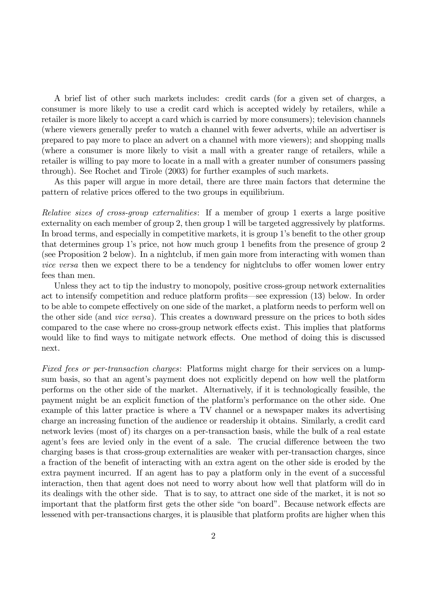A brief list of other such markets includes: credit cards (for a given set of charges, a consumer is more likely to use a credit card which is accepted widely by retailers, while a retailer is more likely to accept a card which is carried by more consumers); television channels (where viewers generally prefer to watch a channel with fewer adverts, while an advertiser is prepared to pay more to place an advert on a channel with more viewers); and shopping malls (where a consumer is more likely to visit a mall with a greater range of retailers, while a retailer is willing to pay more to locate in a mall with a greater number of consumers passing through). See Rochet and Tirole (2003) for further examples of such markets.

As this paper will argue in more detail, there are three main factors that determine the pattern of relative prices offered to the two groups in equilibrium.

Relative sizes of cross-group externalities: If a member of group 1 exerts a large positive externality on each member of group 2, then group 1 will be targeted aggressively by platforms. In broad terms, and especially in competitive markets, it is group 1's benefit to the other group that determines group 1's price, not how much group 1 benefits from the presence of group 2 (see Proposition 2 below). In a nightclub, if men gain more from interacting with women than vice versa then we expect there to be a tendency for nightclubs to offer women lower entry fees than men.

Unless they act to tip the industry to monopoly, positive cross-group network externalities act to intensify competition and reduce platform profits—see expression  $(13)$  below. In order to be able to compete effectively on one side of the market, a platform needs to perform well on the other side (and vice versa). This creates a downward pressure on the prices to both sides compared to the case where no cross-group network effects exist. This implies that platforms would like to find ways to mitigate network effects. One method of doing this is discussed next.

Fixed fees or per-transaction charges: Platforms might charge for their services on a lumpsum basis, so that an agent's payment does not explicitly depend on how well the platform performs on the other side of the market. Alternatively, if it is technologically feasible, the payment might be an explicit function of the platformís performance on the other side. One example of this latter practice is where a TV channel or a newspaper makes its advertising charge an increasing function of the audience or readership it obtains. Similarly, a credit card network levies (most of) its charges on a per-transaction basis, while the bulk of a real estate agent's fees are levied only in the event of a sale. The crucial difference between the two charging bases is that cross-group externalities are weaker with per-transaction charges, since a fraction of the benefit of interacting with an extra agent on the other side is eroded by the extra payment incurred. If an agent has to pay a platform only in the event of a successful interaction, then that agent does not need to worry about how well that platform will do in its dealings with the other side. That is to say, to attract one side of the market, it is not so important that the platform first gets the other side "on board". Because network effects are lessened with per-transactions charges, it is plausible that platform profits are higher when this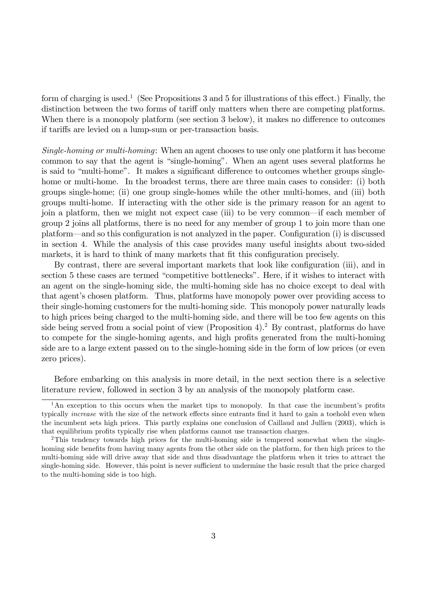form of charging is used.<sup>1</sup> (See Propositions 3 and 5 for illustrations of this effect.) Finally, the distinction between the two forms of tariff only matters when there are competing platforms. When there is a monopoly platform (see section 3 below), it makes no difference to outcomes if tariffs are levied on a lump-sum or per-transaction basis.

Single-homing or multi-homing: When an agent chooses to use only one platform it has become common to say that the agent is "single-homing". When an agent uses several platforms he is said to "multi-home". It makes a significant difference to outcomes whether groups singlehome or multi-home. In the broadest terms, there are three main cases to consider: (i) both groups single-home; (ii) one group single-homes while the other multi-homes, and (iii) both groups multi-home. If interacting with the other side is the primary reason for an agent to join a platform, then we might not expect case (iii) to be very common—if each member of group 2 joins all platforms, there is no need for any member of group 1 to join more than one platform—and so this configuration is not analyzed in the paper. Configuration (i) is discussed in section 4. While the analysis of this case provides many useful insights about two-sided markets, it is hard to think of many markets that fit this configuration precisely.

By contrast, there are several important markets that look like configuration (iii), and in section 5 these cases are termed "competitive bottlenecks". Here, if it wishes to interact with an agent on the single-homing side, the multi-homing side has no choice except to deal with that agent's chosen platform. Thus, platforms have monopoly power over providing access to their single-homing customers for the multi-homing side. This monopoly power naturally leads to high prices being charged to the multi-homing side, and there will be too few agents on this side being served from a social point of view (Proposition 4).<sup>2</sup> By contrast, platforms do have to compete for the single-homing agents, and high profits generated from the multi-homing side are to a large extent passed on to the single-homing side in the form of low prices (or even zero prices).

Before embarking on this analysis in more detail, in the next section there is a selective literature review, followed in section 3 by an analysis of the monopoly platform case.

 $1<sup>1</sup>$ An exception to this occurs when the market tips to monopoly. In that case the incumbent's profits typically *increase* with the size of the network effects since entrants find it hard to gain a toehold even when the incumbent sets high prices. This partly explains one conclusion of Caillaud and Jullien (2003), which is that equilibrium profits typically rise when platforms cannot use transaction charges.

<sup>&</sup>lt;sup>2</sup>This tendency towards high prices for the multi-homing side is tempered somewhat when the singlehoming side benefits from having many agents from the other side on the platform, for then high prices to the multi-homing side will drive away that side and thus disadvantage the platform when it tries to attract the single-homing side. However, this point is never sufficient to undermine the basic result that the price charged to the multi-homing side is too high.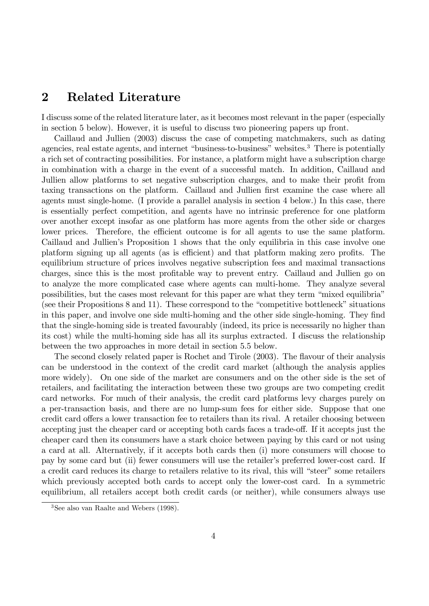## 2 Related Literature

I discuss some of the related literature later, as it becomes most relevant in the paper (especially in section 5 below). However, it is useful to discuss two pioneering papers up front.

Caillaud and Jullien (2003) discuss the case of competing matchmakers, such as dating agencies, real estate agents, and internet "business-to-business" websites.<sup>3</sup> There is potentially a rich set of contracting possibilities. For instance, a platform might have a subscription charge in combination with a charge in the event of a successful match. In addition, Caillaud and Jullien allow platforms to set negative subscription charges, and to make their profit from taxing transactions on the platform. Caillaud and Jullien first examine the case where all agents must single-home. (I provide a parallel analysis in section 4 below.) In this case, there is essentially perfect competition, and agents have no intrinsic preference for one platform over another except insofar as one platform has more agents from the other side or charges lower prices. Therefore, the efficient outcome is for all agents to use the same platform. Caillaud and Jullienís Proposition 1 shows that the only equilibria in this case involve one platform signing up all agents (as is efficient) and that platform making zero profits. The equilibrium structure of prices involves negative subscription fees and maximal transactions charges, since this is the most profitable way to prevent entry. Caillaud and Jullien go on to analyze the more complicated case where agents can multi-home. They analyze several possibilities, but the cases most relevant for this paper are what they term "mixed equilibria" (see their Propositions  $8$  and  $11$ ). These correspond to the "competitive bottleneck" situations in this paper, and involve one side multi-homing and the other side single-homing. They find that the single-homing side is treated favourably (indeed, its price is necessarily no higher than its cost) while the multi-homing side has all its surplus extracted. I discuss the relationship between the two approaches in more detail in section 5.5 below.

The second closely related paper is Rochet and Tirole (2003). The flavour of their analysis can be understood in the context of the credit card market (although the analysis applies more widely). On one side of the market are consumers and on the other side is the set of retailers, and facilitating the interaction between these two groups are two competing credit card networks. For much of their analysis, the credit card platforms levy charges purely on a per-transaction basis, and there are no lump-sum fees for either side. Suppose that one credit card offers a lower transaction fee to retailers than its rival. A retailer choosing between accepting just the cheaper card or accepting both cards faces a trade-off. If it accepts just the cheaper card then its consumers have a stark choice between paying by this card or not using a card at all. Alternatively, if it accepts both cards then (i) more consumers will choose to pay by some card but (ii) fewer consumers will use the retailer's preferred lower-cost card. If a credit card reduces its charge to retailers relative to its rival, this will "steer" some retailers which previously accepted both cards to accept only the lower-cost card. In a symmetric equilibrium, all retailers accept both credit cards (or neither), while consumers always use

<sup>3</sup>See also van Raalte and Webers (1998).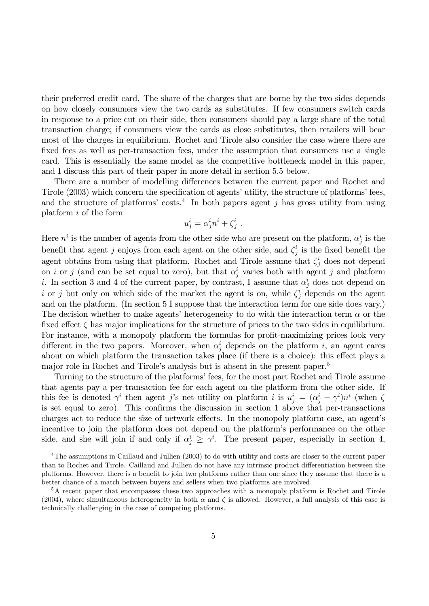their preferred credit card. The share of the charges that are borne by the two sides depends on how closely consumers view the two cards as substitutes. If few consumers switch cards in response to a price cut on their side, then consumers should pay a large share of the total transaction charge; if consumers view the cards as close substitutes, then retailers will bear most of the charges in equilibrium. Rochet and Tirole also consider the case where there are fixed fees as well as per-transaction fees, under the assumption that consumers use a single card. This is essentially the same model as the competitive bottleneck model in this paper, and I discuss this part of their paper in more detail in section 5.5 below.

There are a number of modelling differences between the current paper and Rochet and Tirole (2003) which concern the specification of agents' utility, the structure of platforms' fees, and the structure of platforms' costs.<sup>4</sup> In both papers agent j has gross utility from using platform i of the form

$$
u_j^i = \alpha_j^i n^i + \zeta_j^i .
$$

Here  $n^i$  is the number of agents from the other side who are present on the platform,  $\alpha_j^i$  is the benefit that agent j enjoys from each agent on the other side, and  $\zeta_i^i$  $i_j$  is the fixed benefit the agent obtains from using that platform. Rochet and Tirole assume that  $\zeta_j^i$  does not depend on *i* or *j* (and can be set equal to zero), but that  $\alpha_j^i$  varies both with agent *j* and platform *i*. In section 3 and 4 of the current paper, by contrast, I assume that  $\alpha_j^i$  does not depend on i or j but only on which side of the market the agent is on, while  $\zeta_j^i$  depends on the agent and on the platform. (In section 5 I suppose that the interaction term for one side does vary.) The decision whether to make agents' heterogeneity to do with the interaction term  $\alpha$  or the fixed effect  $\zeta$  has major implications for the structure of prices to the two sides in equilibrium. For instance, with a monopoly platform the formulas for profit-maximizing prices look very different in the two papers. Moreover, when  $\alpha_j^i$  depends on the platform i, an agent cares about on which platform the transaction takes place (if there is a choice): this effect plays a major role in Rochet and Tirole's analysis but is absent in the present paper.<sup>5</sup>

Turning to the structure of the platforms' fees, for the most part Rochet and Tirole assume that agents pay a per-transaction fee for each agent on the platform from the other side. If this fee is denoted  $\gamma^i$  then agent j's net utility on platform i is  $u_j^i = (\alpha_j^i - \gamma^i)n^i$  (when  $\zeta$ is set equal to zero). This confirms the discussion in section 1 above that per-transactions charges act to reduce the size of network effects. In the monopoly platform case, an agent's incentive to join the platform does not depend on the platform's performance on the other side, and she will join if and only if  $\alpha_j^i \geq \gamma^i$ . The present paper, especially in section 4,

<sup>&</sup>lt;sup>4</sup>The assumptions in Caillaud and Jullien (2003) to do with utility and costs are closer to the current paper than to Rochet and Tirole. Caillaud and Jullien do not have any intrinsic product differentiation between the platforms. However, there is a benefit to join two platforms rather than one since they assume that there is a better chance of a match between buyers and sellers when two platforms are involved.

<sup>&</sup>lt;sup>5</sup>A recent paper that encompasses these two approaches with a monopoly platform is Rochet and Tirole (2004), where simultaneous heterogeneity in both  $\alpha$  and  $\zeta$  is allowed. However, a full analysis of this case is technically challenging in the case of competing platforms.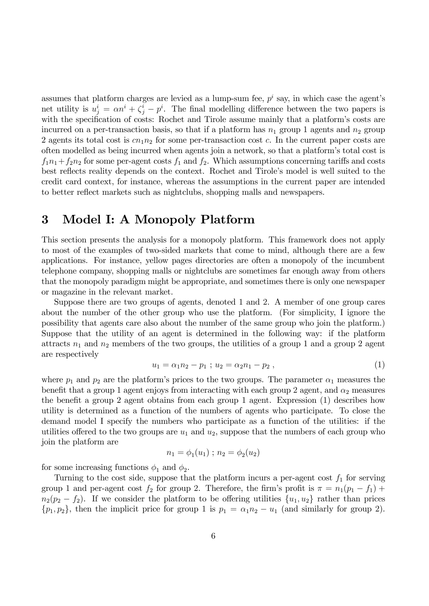assumes that platform charges are levied as a lump-sum fee,  $p^i$  say, in which case the agent's net utility is  $u_j^i = \alpha n^i + \zeta_j^i - p^i$ . The final modelling difference between the two papers is with the specification of costs: Rochet and Tirole assume mainly that a platform's costs are incurred on a per-transaction basis, so that if a platform has  $n_1$  group 1 agents and  $n_2$  group 2 agents its total cost is  $cn_1n_2$  for some per-transaction cost c. In the current paper costs are often modelled as being incurred when agents join a network, so that a platform's total cost is  $f_1n_1+f_2n_2$  for some per-agent costs  $f_1$  and  $f_2$ . Which assumptions concerning tariffs and costs best reflects reality depends on the context. Rochet and Tirole's model is well suited to the credit card context, for instance, whereas the assumptions in the current paper are intended to better reflect markets such as nightclubs, shopping malls and newspapers.

# 3 Model I: A Monopoly Platform

This section presents the analysis for a monopoly platform. This framework does not apply to most of the examples of two-sided markets that come to mind, although there are a few applications. For instance, yellow pages directories are often a monopoly of the incumbent telephone company, shopping malls or nightclubs are sometimes far enough away from others that the monopoly paradigm might be appropriate, and sometimes there is only one newspaper or magazine in the relevant market.

Suppose there are two groups of agents, denoted 1 and 2. A member of one group cares about the number of the other group who use the platform. (For simplicity, I ignore the possibility that agents care also about the number of the same group who join the platform.) Suppose that the utility of an agent is determined in the following way: if the platform attracts  $n_1$  and  $n_2$  members of the two groups, the utilities of a group 1 and a group 2 agent are respectively

$$
u_1 = \alpha_1 n_2 - p_1 \; ; \; u_2 = \alpha_2 n_1 - p_2 \; , \tag{1}
$$

where  $p_1$  and  $p_2$  are the platform's prices to the two groups. The parameter  $\alpha_1$  measures the benefit that a group 1 agent enjoys from interacting with each group 2 agent, and  $\alpha_2$  measures the benefit a group 2 agent obtains from each group 1 agent. Expression  $(1)$  describes how utility is determined as a function of the numbers of agents who participate. To close the demand model I specify the numbers who participate as a function of the utilities: if the utilities offered to the two groups are  $u_1$  and  $u_2$ , suppose that the numbers of each group who join the platform are

$$
n_1 = \phi_1(u_1) \; ; \; n_2 = \phi_2(u_2)
$$

for some increasing functions  $\phi_1$  and  $\phi_2$ .

Turning to the cost side, suppose that the platform incurs a per-agent cost  $f_1$  for serving group 1 and per-agent cost  $f_2$  for group 2. Therefore, the firm's profit is  $\pi = n_1(p_1 - f_1) +$  $n_2(p_2 - f_2)$ . If we consider the platform to be offering utilities  $\{u_1, u_2\}$  rather than prices  $\{p_1, p_2\}$ , then the implicit price for group 1 is  $p_1 = \alpha_1 n_2 - u_1$  (and similarly for group 2).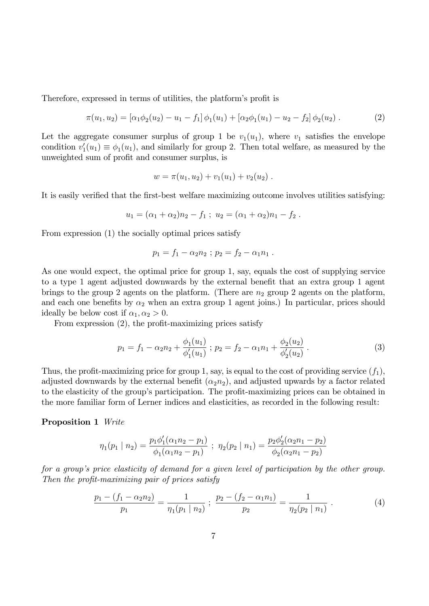Therefore, expressed in terms of utilities, the platform's profit is

$$
\pi(u_1, u_2) = [\alpha_1 \phi_2(u_2) - u_1 - f_1] \phi_1(u_1) + [\alpha_2 \phi_1(u_1) - u_2 - f_2] \phi_2(u_2).
$$
\n(2)

Let the aggregate consumer surplus of group 1 be  $v_1(u_1)$ , where  $v_1$  satisfies the envelope condition  $v'_1(u_1) \equiv \phi_1(u_1)$ , and similarly for group 2. Then total welfare, as measured by the unweighted sum of profit and consumer surplus, is

$$
w = \pi(u_1, u_2) + v_1(u_1) + v_2(u_2).
$$

It is easily verified that the first-best welfare maximizing outcome involves utilities satisfying:

$$
u_1 = (\alpha_1 + \alpha_2)n_2 - f_1 ; u_2 = (\alpha_1 + \alpha_2)n_1 - f_2.
$$

From expression (1) the socially optimal prices satisfy

$$
p_1 = f_1 - \alpha_2 n_2 ; p_2 = f_2 - \alpha_1 n_1 .
$$

As one would expect, the optimal price for group 1, say, equals the cost of supplying service to a type 1 agent adjusted downwards by the external benefit that an extra group 1 agent brings to the group 2 agents on the platform. (There are  $n_2$  group 2 agents on the platform, and each one benefits by  $\alpha_2$  when an extra group 1 agent joins.) In particular, prices should ideally be below cost if  $\alpha_1, \alpha_2 > 0$ .

From expression  $(2)$ , the profit-maximizing prices satisfy

$$
p_1 = f_1 - \alpha_2 n_2 + \frac{\phi_1(u_1)}{\phi'_1(u_1)} \; ; \; p_2 = f_2 - \alpha_1 n_1 + \frac{\phi_2(u_2)}{\phi'_2(u_2)} \; . \tag{3}
$$

Thus, the profit-maximizing price for group 1, say, is equal to the cost of providing service  $(f_1)$ , adjusted downwards by the external benefit  $(\alpha_2 n_2)$ , and adjusted upwards by a factor related to the elasticity of the group's participation. The profit-maximizing prices can be obtained in the more familiar form of Lerner indices and elasticities, as recorded in the following result:

#### Proposition 1 Write

$$
\eta_1(p_1 \mid n_2) = \frac{p_1 \phi_1'(\alpha_1 n_2 - p_1)}{\phi_1(\alpha_1 n_2 - p_1)} \; ; \; \eta_2(p_2 \mid n_1) = \frac{p_2 \phi_2'(\alpha_2 n_1 - p_2)}{\phi_2(\alpha_2 n_1 - p_2)}
$$

for a group's price elasticity of demand for a given level of participation by the other group. Then the profit-maximizing pair of prices satisfy

$$
\frac{p_1 - (f_1 - \alpha_2 n_2)}{p_1} = \frac{1}{\eta_1 (p_1 \mid n_2)} \; ; \; \frac{p_2 - (f_2 - \alpha_1 n_1)}{p_2} = \frac{1}{\eta_2 (p_2 \mid n_1)} \; . \tag{4}
$$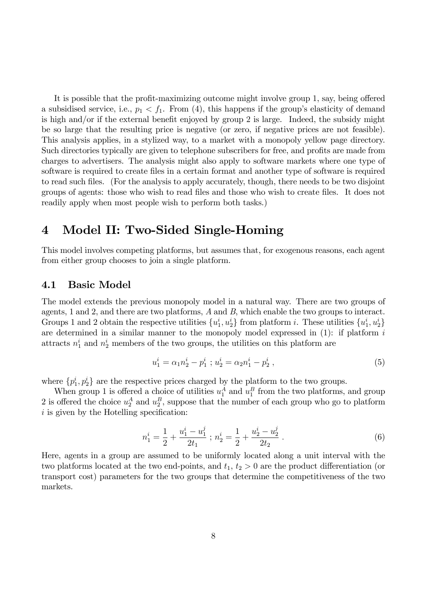It is possible that the profit-maximizing outcome might involve group  $1$ , say, being offered a subsidised service, i.e.,  $p_1 < f_1$ . From (4), this happens if the group's elasticity of demand is high and/or if the external benefit enjoyed by group 2 is large. Indeed, the subsidy might be so large that the resulting price is negative (or zero, if negative prices are not feasible). This analysis applies, in a stylized way, to a market with a monopoly yellow page directory. Such directories typically are given to telephone subscribers for free, and profits are made from charges to advertisers. The analysis might also apply to software markets where one type of software is required to create Öles in a certain format and another type of software is required to read such files. (For the analysis to apply accurately, though, there needs to be two disjoint groups of agents: those who wish to read files and those who wish to create files. It does not readily apply when most people wish to perform both tasks.)

## 4 Model II: Two-Sided Single-Homing

This model involves competing platforms, but assumes that, for exogenous reasons, each agent from either group chooses to join a single platform.

## 4.1 Basic Model

The model extends the previous monopoly model in a natural way. There are two groups of agents, 1 and 2, and there are two platforms, A and B, which enable the two groups to interact. Groups 1 and 2 obtain the respective utilities  $\{u_1^i, u_2^i\}$  from platform *i*. These utilities  $\{u_1^i, u_2^i\}$ are determined in a similar manner to the monopoly model expressed in  $(1)$ : if platform i attracts  $n_1^i$  and  $n_2^i$  members of the two groups, the utilities on this platform are

$$
u_1^i = \alpha_1 n_2^i - p_1^i \ ; \ u_2^i = \alpha_2 n_1^i - p_2^i \ , \tag{5}
$$

where  $\{p_1^i, p_2^i\}$  are the respective prices charged by the platform to the two groups.

When group 1 is offered a choice of utilities  $u_1^A$  and  $u_1^B$  from the two platforms, and group 2 is offered the choice  $u_2^A$  and  $u_2^B$ , suppose that the number of each group who go to platform  $i$  is given by the Hotelling specification:

$$
n_1^i = \frac{1}{2} + \frac{u_1^i - u_1^j}{2t_1} \; ; \; n_2^i = \frac{1}{2} + \frac{u_2^i - u_2^j}{2t_2} \; . \tag{6}
$$

Here, agents in a group are assumed to be uniformly located along a unit interval with the two platforms located at the two end-points, and  $t_1$ ,  $t_2 > 0$  are the product differentiation (or transport cost) parameters for the two groups that determine the competitiveness of the two markets.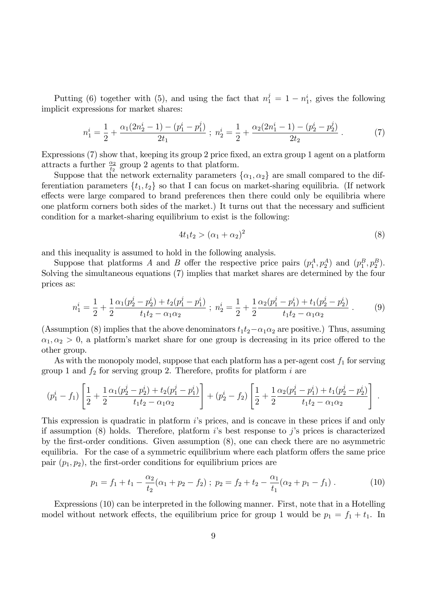Putting (6) together with (5), and using the fact that  $n_1^j = 1 - n_1^i$ , gives the following implicit expressions for market shares:

$$
n_1^i = \frac{1}{2} + \frac{\alpha_1(2n_2^i - 1) - (p_1^i - p_1^j)}{2t_1} ; \ n_2^i = \frac{1}{2} + \frac{\alpha_2(2n_1^i - 1) - (p_2^i - p_2^j)}{2t_2} . \tag{7}
$$

Expressions  $(7)$  show that, keeping its group 2 price fixed, an extra group 1 agent on a platform attracts a further  $\frac{\alpha_2}{t_2}$  group 2 agents to that platform.

Suppose that the network externality parameters  $\{\alpha_1, \alpha_2\}$  are small compared to the differentiation parameters  $\{t_1, t_2\}$  so that I can focus on market-sharing equilibria. (If network effects were large compared to brand preferences then there could only be equilibria where one platform corners both sides of the market.) It turns out that the necessary and sufficient condition for a market-sharing equilibrium to exist is the following:

$$
4t_1t_2 > (\alpha_1 + \alpha_2)^2 \tag{8}
$$

and this inequality is assumed to hold in the following analysis.

Suppose that platforms A and B offer the respective price pairs  $(p_1^A, p_2^A)$  and  $(p_1^B, p_2^B)$ . Solving the simultaneous equations (7) implies that market shares are determined by the four prices as:

$$
n_1^i = \frac{1}{2} + \frac{1}{2} \frac{\alpha_1 (p_2^j - p_2^i) + t_2 (p_1^j - p_1^i)}{t_1 t_2 - \alpha_1 \alpha_2} ; \ n_2^i = \frac{1}{2} + \frac{1}{2} \frac{\alpha_2 (p_1^j - p_1^i) + t_1 (p_2^j - p_2^i)}{t_1 t_2 - \alpha_1 \alpha_2} . \tag{9}
$$

(Assumption (8) implies that the above denominators  $t_1t_2-\alpha_1\alpha_2$  are positive.) Thus, assuming  $\alpha_1, \alpha_2 > 0$ , a platform's market share for one group is decreasing in its price offered to the other group.

As with the monopoly model, suppose that each platform has a per-agent cost  $f_1$  for serving group 1 and  $f_2$  for serving group 2. Therefore, profits for platform i are

$$
(p_1^i - f_1) \left[ \frac{1}{2} + \frac{1}{2} \frac{\alpha_1 (p_2^j - p_2^i) + t_2 (p_1^j - p_1^i)}{t_1 t_2 - \alpha_1 \alpha_2} \right] + (p_2^i - f_2) \left[ \frac{1}{2} + \frac{1}{2} \frac{\alpha_2 (p_1^j - p_1^i) + t_1 (p_2^j - p_2^i)}{t_1 t_2 - \alpha_1 \alpha_2} \right].
$$

This expression is quadratic in platform is prices, and is concave in these prices if and only if assumption  $(8)$  holds. Therefore, platform is best response to j's prices is characterized by the Örst-order conditions. Given assumption (8), one can check there are no asymmetric equilibria. For the case of a symmetric equilibrium where each platform offers the same price pair  $(p_1, p_2)$ , the first-order conditions for equilibrium prices are

$$
p_1 = f_1 + t_1 - \frac{\alpha_2}{t_2} (\alpha_1 + p_2 - f_2) ; p_2 = f_2 + t_2 - \frac{\alpha_1}{t_1} (\alpha_2 + p_1 - f_1) .
$$
 (10)

Expressions (10) can be interpreted in the following manner. First, note that in a Hotelling model without network effects, the equilibrium price for group 1 would be  $p_1 = f_1 + t_1$ . In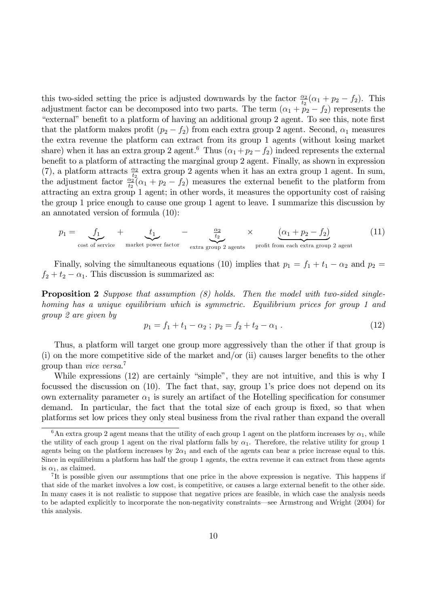this two-sided setting the price is adjusted downwards by the factor  $\frac{\alpha_2}{t_2}(\alpha_1 + p_2 - f_2)$ . This adjustment factor can be decomposed into two parts. The term  $(\alpha_1 + p_2 - f_2)$  represents the "external" benefit to a platform of having an additional group 2 agent. To see this, note first that the platform makes profit  $(p_2 - f_2)$  from each extra group 2 agent. Second,  $\alpha_1$  measures the extra revenue the platform can extract from its group 1 agents (without losing market share) when it has an extra group 2 agent.<sup>6</sup> Thus  $(\alpha_1 + p_2 - f_2)$  indeed represents the external benefit to a platform of attracting the marginal group 2 agent. Finally, as shown in expression (7), a platform attracts  $\frac{\alpha_2}{t_2}$  extra group 2 agents when it has an extra group 1 agent. In sum, the adjustment factor  $\frac{\alpha_2}{t_2}(\alpha_1 + p_2 - f_2)$  measures the external benefit to the platform from attracting an extra group 1 agent; in other words, it measures the opportunity cost of raising the group 1 price enough to cause one group 1 agent to leave. I summarize this discussion by an annotated version of formula (10):

$$
p_1 = \underbrace{f_1}_{\text{cost of service}} + \underbrace{t_1}_{\text{market power factor}} - \underbrace{\frac{\alpha_2}{t_2}}_{\text{extra group 2 agents}} \times \underbrace{(\alpha_1 + p_2 - f_2)}_{\text{profit from each extra group 2 agent}} \tag{11}
$$

Finally, solving the simultaneous equations (10) implies that  $p_1 = f_1 + t_1 - \alpha_2$  and  $p_2 =$  $f_2 + t_2 - \alpha_1$ . This discussion is summarized as:

**Proposition 2** Suppose that assumption  $(8)$  holds. Then the model with two-sided singlehoming has a unique equilibrium which is symmetric. Equilibrium prices for group 1 and group 2 are given by

$$
p_1 = f_1 + t_1 - \alpha_2 \; ; \; p_2 = f_2 + t_2 - \alpha_1 \; . \tag{12}
$$

Thus, a platform will target one group more aggressively than the other if that group is  $(i)$  on the more competitive side of the market and/or  $(ii)$  causes larger benefits to the other group than *vice versa*.<sup>7</sup>

While expressions  $(12)$  are certainly "simple", they are not intuitive, and this is why I focussed the discussion on  $(10)$ . The fact that, say, group 1's price does not depend on its own externality parameter  $\alpha_1$  is surely an artifact of the Hotelling specification for consumer demand. In particular, the fact that the total size of each group is fixed, so that when platforms set low prices they only steal business from the rival rather than expand the overall

<sup>&</sup>lt;sup>6</sup>An extra group 2 agent means that the utility of each group 1 agent on the platform increases by  $\alpha_1$ , while the utility of each group 1 agent on the rival platform falls by  $\alpha_1$ . Therefore, the relative utility for group 1 agents being on the platform increases by  $2\alpha_1$  and each of the agents can bear a price increase equal to this. Since in equilibrium a platform has half the group 1 agents, the extra revenue it can extract from these agents is  $\alpha_1$ , as claimed.

<sup>&</sup>lt;sup>7</sup>It is possible given our assumptions that one price in the above expression is negative. This happens if that side of the market involves a low cost, is competitive, or causes a large external benefit to the other side. In many cases it is not realistic to suppose that negative prices are feasible, in which case the analysis needs to be adapted explicitly to incorporate the non-negativity constraints—see Armstrong and Wright (2004) for this analysis.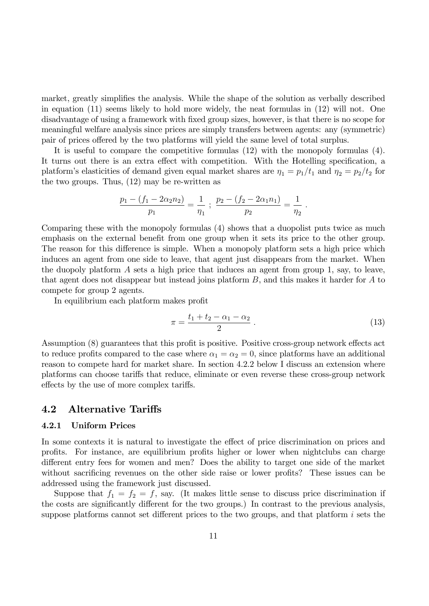market, greatly simplifies the analysis. While the shape of the solution as verbally described in equation (11) seems likely to hold more widely, the neat formulas in (12) will not. One disadvantage of using a framework with fixed group sizes, however, is that there is no scope for meaningful welfare analysis since prices are simply transfers between agents: any (symmetric) pair of prices offered by the two platforms will yield the same level of total surplus.

It is useful to compare the competitive formulas (12) with the monopoly formulas (4). It turns out there is an extra effect with competition. With the Hotelling specification, a platform's elasticities of demand given equal market shares are  $\eta_1 = p_1/t_1$  and  $\eta_2 = p_2/t_2$  for the two groups. Thus, (12) may be re-written as

$$
\frac{p_1 - (f_1 - 2\alpha_2 n_2)}{p_1} = \frac{1}{\eta_1} ; \frac{p_2 - (f_2 - 2\alpha_1 n_1)}{p_2} = \frac{1}{\eta_2} .
$$

Comparing these with the monopoly formulas (4) shows that a duopolist puts twice as much emphasis on the external benefit from one group when it sets its price to the other group. The reason for this difference is simple. When a monopoly platform sets a high price which induces an agent from one side to leave, that agent just disappears from the market. When the duopoly platform A sets a high price that induces an agent from group 1, say, to leave, that agent does not disappear but instead joins platform  $B$ , and this makes it harder for  $A$  to compete for group 2 agents.

In equilibrium each platform makes profit

$$
\pi = \frac{t_1 + t_2 - \alpha_1 - \alpha_2}{2} \,. \tag{13}
$$

Assumption (8) guarantees that this profit is positive. Positive cross-group network effects act to reduce profits compared to the case where  $\alpha_1 = \alpha_2 = 0$ , since platforms have an additional reason to compete hard for market share. In section 4.2.2 below I discuss an extension where platforms can choose tariffs that reduce, eliminate or even reverse these cross-group network effects by the use of more complex tariffs.

### 4.2 Alternative Tariffs

#### 4.2.1 Uniform Prices

In some contexts it is natural to investigate the effect of price discrimination on prices and profits. For instance, are equilibrium profits higher or lower when nightclubs can charge different entry fees for women and men? Does the ability to target one side of the market without sacrificing revenues on the other side raise or lower profits? These issues can be addressed using the framework just discussed.

Suppose that  $f_1 = f_2 = f$ , say. (It makes little sense to discuss price discrimination if the costs are significantly different for the two groups.) In contrast to the previous analysis, suppose platforms cannot set different prices to the two groups, and that platform  $i$  sets the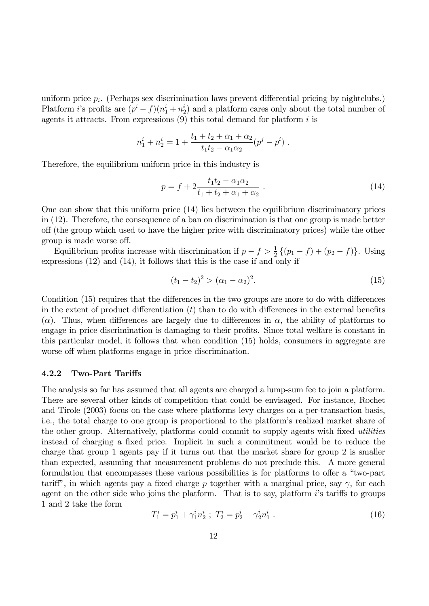uniform price  $p_i$ . (Perhaps sex discrimination laws prevent differential pricing by nightclubs.) Platform *i*'s profits are  $(p^{i} - f)(n_1^{i} + n_2^{i})$  and a platform cares only about the total number of agents it attracts. From expressions  $(9)$  this total demand for platform i is

$$
n_1^i + n_2^i = 1 + \frac{t_1 + t_2 + \alpha_1 + \alpha_2}{t_1 t_2 - \alpha_1 \alpha_2} (p^j - p^i) .
$$

Therefore, the equilibrium uniform price in this industry is

$$
p = f + 2 \frac{t_1 t_2 - \alpha_1 \alpha_2}{t_1 + t_2 + \alpha_1 + \alpha_2} \,. \tag{14}
$$

One can show that this uniform price (14) lies between the equilibrium discriminatory prices in (12). Therefore, the consequence of a ban on discrimination is that one group is made better off (the group which used to have the higher price with discriminatory prices) while the other group is made worse off.

Equilibrium profits increase with discrimination if  $p - f > \frac{1}{2} \{ (p_1 - f) + (p_2 - f) \}$ . Using expressions (12) and (14), it follows that this is the case if and only if

$$
(t_1 - t_2)^2 > (\alpha_1 - \alpha_2)^2.
$$
 (15)

Condition  $(15)$  requires that the differences in the two groups are more to do with differences in the extent of product differentiation  $(t)$  than to do with differences in the external benefits ( $\alpha$ ). Thus, when differences are largely due to differences in  $\alpha$ , the ability of platforms to engage in price discrimination is damaging to their profits. Since total welfare is constant in this particular model, it follows that when condition (15) holds, consumers in aggregate are worse off when platforms engage in price discrimination.

#### 4.2.2 Two-Part Tariffs

The analysis so far has assumed that all agents are charged a lump-sum fee to join a platform. There are several other kinds of competition that could be envisaged. For instance, Rochet and Tirole (2003) focus on the case where platforms levy charges on a per-transaction basis, i.e., the total charge to one group is proportional to the platform's realized market share of the other group. Alternatively, platforms could commit to supply agents with fixed *utilities* instead of charging a fixed price. Implicit in such a commitment would be to reduce the charge that group 1 agents pay if it turns out that the market share for group 2 is smaller than expected, assuming that measurement problems do not preclude this. A more general formulation that encompasses these various possibilities is for platforms to offer a "two-part tariff", in which agents pay a fixed charge p together with a marginal price, say  $\gamma$ , for each agent on the other side who joins the platform. That is to say, platform  $i$ 's tariffs to groups 1 and 2 take the form

$$
T_1^i = p_1^i + \gamma_1^i n_2^i \; ; \; T_2^i = p_2^i + \gamma_2^i n_1^i \; . \tag{16}
$$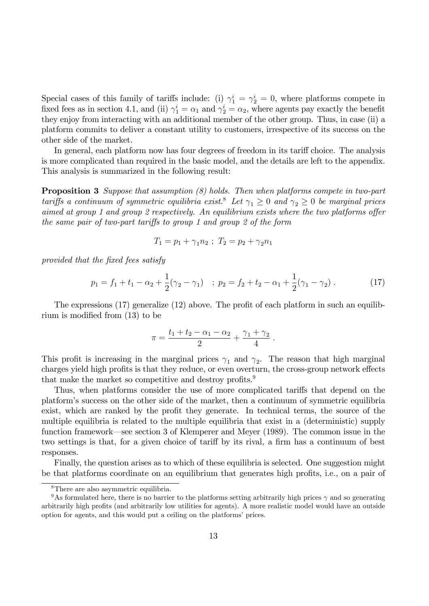Special cases of this family of tariffs include: (i)  $\gamma_1^i = \gamma_2^i = 0$ , where platforms compete in fixed fees as in section 4.1, and (ii)  $\gamma_1^i = \alpha_1$  and  $\gamma_2^i = \alpha_2$ , where agents pay exactly the benefit they enjoy from interacting with an additional member of the other group. Thus, in case (ii) a platform commits to deliver a constant utility to customers, irrespective of its success on the other side of the market.

In general, each platform now has four degrees of freedom in its tariff choice. The analysis is more complicated than required in the basic model, and the details are left to the appendix. This analysis is summarized in the following result:

**Proposition 3** Suppose that assumption (8) holds. Then when platforms compete in two-part tariffs a continuum of symmetric equilibria exist.<sup>8</sup> Let  $\gamma_1 \geq 0$  and  $\gamma_2 \geq 0$  be marginal prices aimed at group 1 and group 2 respectively. An equilibrium exists where the two platforms offer the same pair of two-part tariffs to group 1 and group 2 of the form

$$
T_1 = p_1 + \gamma_1 n_2 \; ; \; T_2 = p_2 + \gamma_2 n_1
$$

provided that the fixed fees satisfy

$$
p_1 = f_1 + t_1 - \alpha_2 + \frac{1}{2}(\gamma_2 - \gamma_1) \quad ; \ p_2 = f_2 + t_2 - \alpha_1 + \frac{1}{2}(\gamma_1 - \gamma_2) \,. \tag{17}
$$

The expressions  $(17)$  generalize  $(12)$  above. The profit of each platform in such an equilibrium is modified from  $(13)$  to be

$$
\pi = \frac{t_1 + t_2 - \alpha_1 - \alpha_2}{2} + \frac{\gamma_1 + \gamma_2}{4}.
$$

This profit is increasing in the marginal prices  $\gamma_1$  and  $\gamma_2$ . The reason that high marginal charges yield high profits is that they reduce, or even overturn, the cross-group network effects that make the market so competitive and destroy profits.<sup>9</sup>

Thus, when platforms consider the use of more complicated tariffs that depend on the platformís success on the other side of the market, then a continuum of symmetric equilibria exist, which are ranked by the profit they generate. In technical terms, the source of the multiple equilibria is related to the multiple equilibria that exist in a (deterministic) supply function framework—see section 3 of Klemperer and Meyer (1989). The common issue in the two settings is that, for a given choice of tariff by its rival, a firm has a continuum of best responses.

Finally, the question arises as to which of these equilibria is selected. One suggestion might be that platforms coordinate on an equilibrium that generates high profits, i.e., on a pair of

<sup>8</sup>There are also asymmetric equilibria.

<sup>&</sup>lt;sup>9</sup>As formulated here, there is no barrier to the platforms setting arbitrarily high prices  $\gamma$  and so generating arbitrarily high profits (and arbitrarily low utilities for agents). A more realistic model would have an outside option for agents, and this would put a ceiling on the platforms' prices.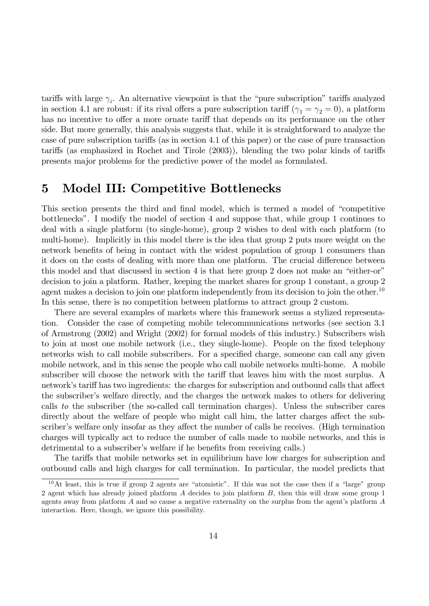tariffs with large  $\gamma_i$ . An alternative viewpoint is that the "pure subscription" tariffs analyzed in section 4.1 are robust: if its rival offers a pure subscription tariff  $(\gamma_1 = \gamma_2 = 0)$ , a platform has no incentive to offer a more ornate tariff that depends on its performance on the other side. But more generally, this analysis suggests that, while it is straightforward to analyze the case of pure subscription tariffs (as in section 4.1 of this paper) or the case of pure transaction tariffs (as emphasized in Rochet and Tirole (2003)), blending the two polar kinds of tariffs presents major problems for the predictive power of the model as formulated.

## 5 Model III: Competitive Bottlenecks

This section presents the third and final model, which is termed a model of "competitive" bottlenecks". I modify the model of section 4 and suppose that, while group 1 continues to deal with a single platform (to single-home), group 2 wishes to deal with each platform (to multi-home). Implicitly in this model there is the idea that group 2 puts more weight on the network benefits of being in contact with the widest population of group 1 consumers than it does on the costs of dealing with more than one platform. The crucial difference between this model and that discussed in section 4 is that here group 2 does not make an "either-or" decision to join a platform. Rather, keeping the market shares for group 1 constant, a group 2 agent makes a decision to join one platform independently from its decision to join the other.<sup>10</sup> In this sense, there is no competition between platforms to attract group 2 custom.

There are several examples of markets where this framework seems a stylized representation. Consider the case of competing mobile telecommunications networks (see section 3.1 of Armstrong (2002) and Wright (2002) for formal models of this industry.) Subscribers wish to join at most one mobile network (i.e., they single-home). People on the Öxed telephony networks wish to call mobile subscribers. For a specified charge, someone can call any given mobile network, and in this sense the people who call mobile networks multi-home. A mobile subscriber will choose the network with the tariff that leaves him with the most surplus. A network's tariff has two ingredients: the charges for subscription and outbound calls that affect the subscriberís welfare directly, and the charges the network makes to others for delivering calls to the subscriber (the so-called call termination charges). Unless the subscriber cares directly about the welfare of people who might call him, the latter charges affect the subscriber's welfare only insofar as they affect the number of calls he receives. (High termination charges will typically act to reduce the number of calls made to mobile networks, and this is detrimental to a subscriber's welfare if he benefits from receiving calls.)

The tariffs that mobile networks set in equilibrium have low charges for subscription and outbound calls and high charges for call termination. In particular, the model predicts that

 $10$ At least, this is true if group 2 agents are "atomistic". If this was not the case then if a "large" group 2 agent which has already joined platform A decides to join platform B, then this will draw some group 1 agents away from platform  $A$  and so cause a negative externality on the surplus from the agent's platform  $A$ interaction. Here, though, we ignore this possibility.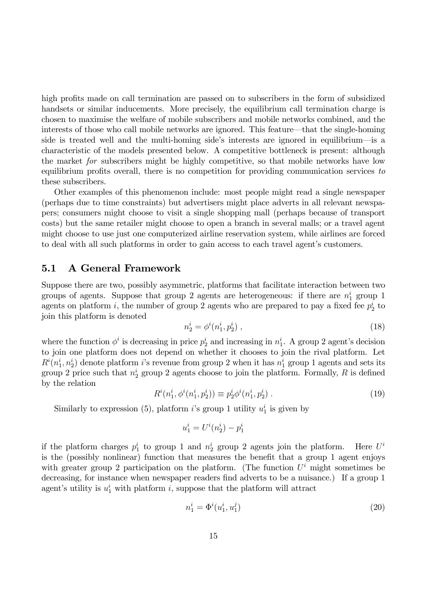high profits made on call termination are passed on to subscribers in the form of subsidized handsets or similar inducements. More precisely, the equilibrium call termination charge is chosen to maximise the welfare of mobile subscribers and mobile networks combined, and the interests of those who call mobile networks are ignored. This feature—that the single-homing side is treated well and the multi-homing side's interests are ignored in equilibrium—is a characteristic of the models presented below. A competitive bottleneck is present: although the market for subscribers might be highly competitive, so that mobile networks have low equilibrium profits overall, there is no competition for providing communication services to these subscribers.

Other examples of this phenomenon include: most people might read a single newspaper (perhaps due to time constraints) but advertisers might place adverts in all relevant newspapers; consumers might choose to visit a single shopping mall (perhaps because of transport costs) but the same retailer might choose to open a branch in several malls; or a travel agent might choose to use just one computerized airline reservation system, while airlines are forced to deal with all such platforms in order to gain access to each travel agent's customers.

### 5.1 A General Framework

Suppose there are two, possibly asymmetric, platforms that facilitate interaction between two groups of agents. Suppose that group 2 agents are heterogeneous: if there are  $n_1^i$  group 1 agents on platform *i*, the number of group 2 agents who are prepared to pay a fixed fee  $p_2^i$  to join this platform is denoted

$$
n_2^i = \phi^i(n_1^i, p_2^i) \tag{18}
$$

where the function  $\phi^i$  is decreasing in price  $p_2^i$  and increasing in  $n_1^i$ . A group 2 agent's decision to join one platform does not depend on whether it chooses to join the rival platform. Let  $R^i(n_1^i, n_2^i)$  denote platform *i*'s revenue from group 2 when it has  $n_1^i$  group 1 agents and sets its group 2 price such that  $n_2^i$  group 2 agents choose to join the platform. Formally, R is defined by the relation

$$
R^{i}(n_1^{i}, \phi^{i}(n_1^{i}, p_2^{i})) \equiv p_2^{i} \phi^{i}(n_1^{i}, p_2^{i}). \qquad (19)
$$

Similarly to expression (5), platform *i*'s group 1 utility  $u_1^i$  is given by

$$
u_1^i = U^i(n_2^i) - p_1^i
$$

if the platform charges  $p_1^i$  to group 1 and  $n_2^i$  group 2 agents join the platform. Here U Here  $U^i$ is the (possibly nonlinear) function that measures the benefit that a group 1 agent enjoys with greater group 2 participation on the platform. (The function  $U^i$  might sometimes be decreasing, for instance when newspaper readers find adverts to be a nuisance.) If a group 1 agent's utility is  $u_1^i$  with platform i, suppose that the platform will attract

$$
n_1^i = \Phi^i(u_1^i, u_1^j) \tag{20}
$$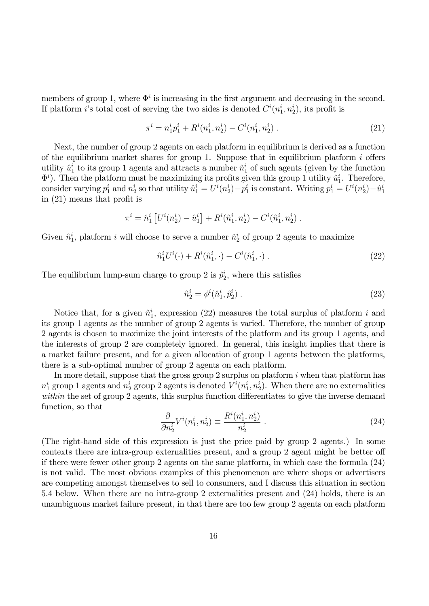members of group 1, where  $\Phi^i$  is increasing in the first argument and decreasing in the second. If platform *i*'s total cost of serving the two sides is denoted  $C^{i}(n_1^i, n_2^i)$ , its profit is

$$
\pi^{i} = n_{1}^{i} p_{1}^{i} + R^{i} (n_{1}^{i}, n_{2}^{i}) - C^{i} (n_{1}^{i}, n_{2}^{i}). \qquad (21)
$$

Next, the number of group 2 agents on each platform in equilibrium is derived as a function of the equilibrium market shares for group 1. Suppose that in equilibrium platform  $i$  offers utility  $\hat{u}_1^i$  to its group 1 agents and attracts a number  $\hat{n}_1^i$  of such agents (given by the function  $\Phi^i$ ). Then the platform must be maximizing its profits given this group 1 utility  $\hat{u}^i_1$ . Therefore, consider varying  $p_1^i$  and  $n_2^i$  so that utility  $\hat{u}_1^i = U^i(n_2^i) - p_1^i$  is constant. Writing  $p_1^i = U^i(n_2^i) - \hat{u}_1^i$ in  $(21)$  means that profit is

$$
\pi^{i} = \hat{n}_{1}^{i} \left[ U^{i} (n_{2}^{i}) - \hat{u}_{1}^{i} \right] + R^{i} (\hat{n}_{1}^{i}, n_{2}^{i}) - C^{i} (\hat{n}_{1}^{i}, n_{2}^{i}).
$$

Given  $\hat{n}_1^i$ , platform i will choose to serve a number  $\hat{n}_2^i$  of group 2 agents to maximize

$$
\hat{n}_1^i U^i(\cdot) + R^i(\hat{n}_1^i, \cdot) - C^i(\hat{n}_1^i, \cdot) \tag{22}
$$

The equilibrium lump-sum charge to group 2 is  $\hat{p}_2^i$ , where this satisfies

$$
\hat{n}_2^i = \phi^i(\hat{n}_1^i, \hat{p}_2^i) \tag{23}
$$

Notice that, for a given  $\hat{n}_1^i$ , expression (22) measures the total surplus of platform i and its group 1 agents as the number of group 2 agents is varied. Therefore, the number of group 2 agents is chosen to maximize the joint interests of the platform and its group 1 agents, and the interests of group 2 are completely ignored. In general, this insight implies that there is a market failure present, and for a given allocation of group 1 agents between the platforms, there is a sub-optimal number of group 2 agents on each platform.

In more detail, suppose that the gross group 2 surplus on platform  $i$  when that platform has  $n_1^i$  group 1 agents and  $n_2^i$  group 2 agents is denoted  $V^i(n_1^i, n_2^i)$ . When there are no externalities within the set of group 2 agents, this surplus function differentiates to give the inverse demand function, so that

$$
\frac{\partial}{\partial n_2^i} V^i(n_1^i, n_2^i) \equiv \frac{R^i(n_1^i, n_2^i)}{n_2^i} \ . \tag{24}
$$

(The right-hand side of this expression is just the price paid by group 2 agents.) In some contexts there are intra-group externalities present, and a group 2 agent might be better of if there were fewer other group 2 agents on the same platform, in which case the formula (24) is not valid. The most obvious examples of this phenomenon are where shops or advertisers are competing amongst themselves to sell to consumers, and I discuss this situation in section 5.4 below. When there are no intra-group 2 externalities present and (24) holds, there is an unambiguous market failure present, in that there are too few group 2 agents on each platform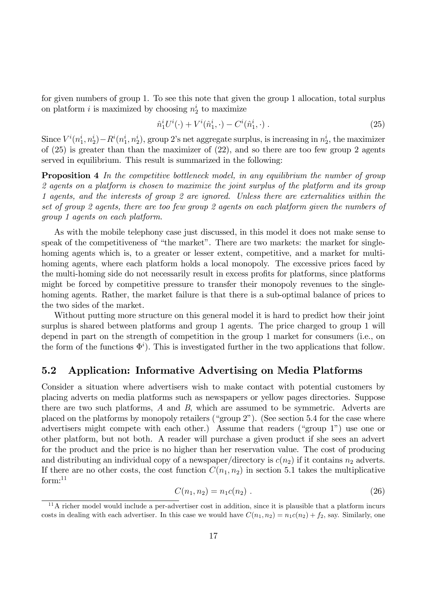for given numbers of group 1. To see this note that given the group 1 allocation, total surplus on platform *i* is maximized by choosing  $n_2^i$  to maximize

$$
\hat{n}_1^i U^i(\cdot) + V^i(\hat{n}_1^i, \cdot) - C^i(\hat{n}_1^i, \cdot) \tag{25}
$$

Since  $V^i(n_1^i, n_2^i) - R^i(n_1^i, n_2^i)$ , group 2's net aggregate surplus, is increasing in  $n_2^i$ , the maximizer of (25) is greater than than the maximizer of (22), and so there are too few group 2 agents served in equilibrium. This result is summarized in the following:

**Proposition 4** In the competitive bottleneck model, in any equilibrium the number of group 2 agents on a platform is chosen to maximize the joint surplus of the platform and its group 1 agents, and the interests of group 2 are ignored. Unless there are externalities within the set of group 2 agents, there are too few group 2 agents on each platform given the numbers of group 1 agents on each platform.

As with the mobile telephony case just discussed, in this model it does not make sense to speak of the competitiveness of "the market". There are two markets: the market for singlehoming agents which is, to a greater or lesser extent, competitive, and a market for multihoming agents, where each platform holds a local monopoly. The excessive prices faced by the multi-homing side do not necessarily result in excess profits for platforms, since platforms might be forced by competitive pressure to transfer their monopoly revenues to the singlehoming agents. Rather, the market failure is that there is a sub-optimal balance of prices to the two sides of the market.

Without putting more structure on this general model it is hard to predict how their joint surplus is shared between platforms and group 1 agents. The price charged to group 1 will depend in part on the strength of competition in the group 1 market for consumers (i.e., on the form of the functions  $\Phi^i$ ). This is investigated further in the two applications that follow.

### 5.2 Application: Informative Advertising on Media Platforms

Consider a situation where advertisers wish to make contact with potential customers by placing adverts on media platforms such as newspapers or yellow pages directories. Suppose there are two such platforms, A and B, which are assumed to be symmetric. Adverts are placed on the platforms by monopoly retailers ("group 2"). (See section 5.4 for the case where advertisers might compete with each other.) Assume that readers ("group  $1$ ") use one or other platform, but not both. A reader will purchase a given product if she sees an advert for the product and the price is no higher than her reservation value. The cost of producing and distributing an individual copy of a newspaper/directory is  $c(n_2)$  if it contains  $n_2$  adverts. If there are no other costs, the cost function  $C(n_1, n_2)$  in section 5.1 takes the multiplicative  $form:$ <sup>11</sup>

$$
C(n_1, n_2) = n_1 c(n_2) . \t\t(26)
$$

 $11$ A richer model would include a per-advertiser cost in addition, since it is plausible that a platform incurs costs in dealing with each advertiser. In this case we would have  $C(n_1, n_2) = n_1c(n_2) + f_2$ , say. Similarly, one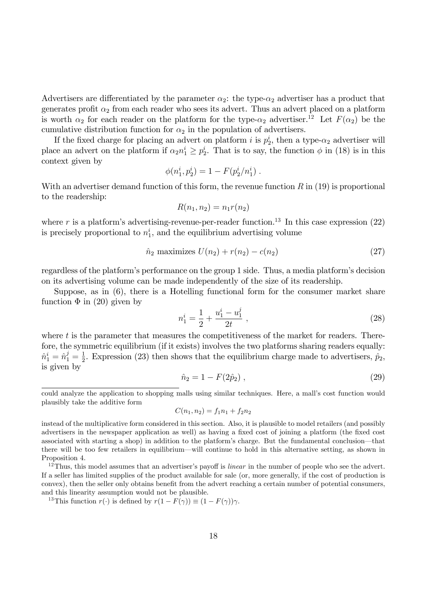Advertisers are differentiated by the parameter  $\alpha_2$ : the type- $\alpha_2$  advertiser has a product that generates profit  $\alpha_2$  from each reader who sees its advert. Thus an advert placed on a platform is worth  $\alpha_2$  for each reader on the platform for the type- $\alpha_2$  advertiser.<sup>12</sup> Let  $F(\alpha_2)$  be the cumulative distribution function for  $\alpha_2$  in the population of advertisers.

If the fixed charge for placing an advert on platform i is  $p_2^i$ , then a type- $\alpha_2$  advertiser will place an advert on the platform if  $\alpha_2 n_1^i \geq p_2^i$ . That is to say, the function  $\phi$  in (18) is in this context given by

$$
\phi(n_1^i, p_2^i) = 1 - F(p_2^i/n_1^i) .
$$

With an advertiser demand function of this form, the revenue function  $R$  in (19) is proportional to the readership:

$$
R(n_1, n_2) = n_1 r(n_2)
$$

where r is a platform's advertising-revenue-per-reader function.<sup>13</sup> In this case expression (22) is precisely proportional to  $n_1^i$ , and the equilibrium advertising volume

$$
\hat{n}_2
$$
 maximizes  $U(n_2) + r(n_2) - c(n_2)$  (27)

regardless of the platform's performance on the group 1 side. Thus, a media platform's decision on its advertising volume can be made independently of the size of its readership.

Suppose, as in (6), there is a Hotelling functional form for the consumer market share function  $\Phi$  in (20) given by

$$
n_1^i = \frac{1}{2} + \frac{u_1^i - u_1^j}{2t} \tag{28}
$$

where  $t$  is the parameter that measures the competitiveness of the market for readers. Therefore, the symmetric equilibrium (if it exists) involves the two platforms sharing readers equally:  $\hat{n}^i_1 = \hat{n}^j_1 = \frac{1}{2}$  $\frac{1}{2}$ . Expression (23) then shows that the equilibrium charge made to advertisers,  $\hat{p}_2$ , is given by

$$
\hat{n}_2 = 1 - F(2\hat{p}_2) \,, \tag{29}
$$

$$
C(n_1, n_2) = f_1 n_1 + f_2 n_2
$$

<sup>13</sup>This function  $r(\cdot)$  is defined by  $r(1 - F(\gamma)) \equiv (1 - F(\gamma))\gamma$ .

could analyze the application to shopping malls using similar techniques. Here, a mallís cost function would plausibly take the additive form

instead of the multiplicative form considered in this section. Also, it is plausible to model retailers (and possibly advertisers in the newspaper application as well) as having a fixed cost of joining a platform (the fixed cost associated with starting a shop) in addition to the platform's charge. But the fundamental conclusion—that there will be too few retailers in equilibrium—will continue to hold in this alternative setting, as shown in Proposition 4.

 $12$ Thus, this model assumes that an advertiser's payoff is *linear* in the number of people who see the advert. If a seller has limited supplies of the product available for sale (or, more generally, if the cost of production is convex), then the seller only obtains benefit from the advert reaching a certain number of potential consumers, and this linearity assumption would not be plausible.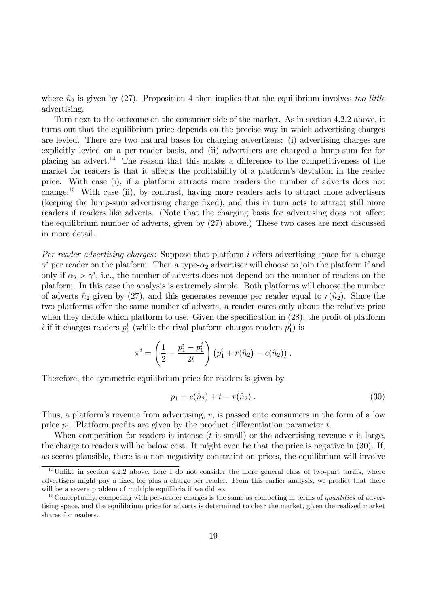where  $\hat{n}_2$  is given by (27). Proposition 4 then implies that the equilibrium involves too little advertising.

Turn next to the outcome on the consumer side of the market. As in section 4.2.2 above, it turns out that the equilibrium price depends on the precise way in which advertising charges are levied. There are two natural bases for charging advertisers: (i) advertising charges are explicitly levied on a per-reader basis, and (ii) advertisers are charged a lump-sum fee for placing an advert.<sup>14</sup> The reason that this makes a difference to the competitiveness of the market for readers is that it affects the profitability of a platform's deviation in the reader price. With case (i), if a platform attracts more readers the number of adverts does not change.<sup>15</sup> With case (ii), by contrast, having more readers acts to attract more advertisers (keeping the lump-sum advertising charge Öxed), and this in turn acts to attract still more readers if readers like adverts. (Note that the charging basis for advertising does not affect the equilibrium number of adverts, given by (27) above.) These two cases are next discussed in more detail.

*Per-reader advertising charges:* Suppose that platform  $i$  offers advertising space for a charge  $\gamma^{i}$  per reader on the platform. Then a type- $\alpha_{2}$  advertiser will choose to join the platform if and only if  $\alpha_2 > \gamma^i$ , i.e., the number of adverts does not depend on the number of readers on the platform. In this case the analysis is extremely simple. Both platforms will choose the number of adverts  $\hat{n}_2$  given by (27), and this generates revenue per reader equal to  $r(\hat{n}_2)$ . Since the two platforms offer the same number of adverts, a reader cares only about the relative price when they decide which platform to use. Given the specification in  $(28)$ , the profit of platform i if it charges readers  $p_1^i$  (while the rival platform charges readers  $p_1^j$  $j_1$ ) is

$$
\pi^{i} = \left(\frac{1}{2} - \frac{p_1^{i} - p_1^{j}}{2t}\right) (p_1^{i} + r(\hat{n}_2) - c(\hat{n}_2)).
$$

Therefore, the symmetric equilibrium price for readers is given by

$$
p_1 = c(\hat{n}_2) + t - r(\hat{n}_2) \tag{30}
$$

Thus, a platform's revenue from advertising,  $r$ , is passed onto consumers in the form of a low price  $p_1$ . Platform profits are given by the product differentiation parameter t.

When competition for readers is intense ( $t$  is small) or the advertising revenue  $r$  is large, the charge to readers will be below cost. It might even be that the price is negative in (30). If, as seems plausible, there is a non-negativity constraint on prices, the equilibrium will involve

 $14$ Unlike in section 4.2.2 above, here I do not consider the more general class of two-part tariffs, where advertisers might pay a fixed fee plus a charge per reader. From this earlier analysis, we predict that there will be a severe problem of multiple equilibria if we did so.

 $15$ Conceptually, competing with per-reader charges is the same as competing in terms of *quantities* of advertising space, and the equilibrium price for adverts is determined to clear the market, given the realized market shares for readers.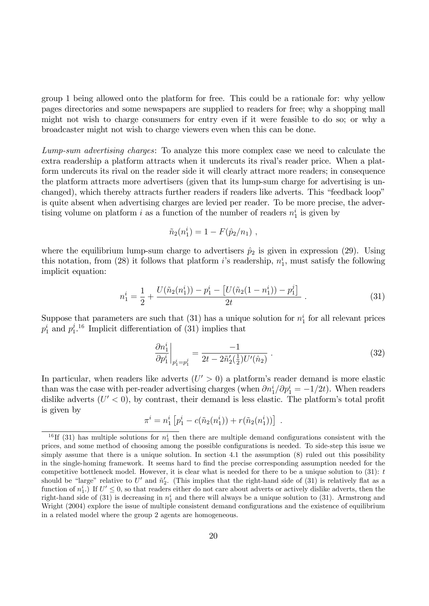group 1 being allowed onto the platform for free. This could be a rationale for: why yellow pages directories and some newspapers are supplied to readers for free; why a shopping mall might not wish to charge consumers for entry even if it were feasible to do so; or why a broadcaster might not wish to charge viewers even when this can be done.

Lump-sum advertising charges: To analyze this more complex case we need to calculate the extra readership a platform attracts when it undercuts its rival's reader price. When a platform undercuts its rival on the reader side it will clearly attract more readers; in consequence the platform attracts more advertisers (given that its lump-sum charge for advertising is unchanged), which thereby attracts further readers if readers like adverts. This "feedback loop" is quite absent when advertising charges are levied per reader. To be more precise, the advertising volume on platform i as a function of the number of readers  $n_1^i$  is given by

$$
\tilde{n}_2(n_1^i) = 1 - F(\hat{p}_2/n_1) ,
$$

where the equilibrium lump-sum charge to advertisers  $\hat{p}_2$  is given in expression (29). Using this notation, from (28) it follows that platform *i*'s readership,  $n_1^i$ , must satisfy the following implicit equation:

$$
n_1^i = \frac{1}{2} + \frac{U(\tilde{n}_2(n_1^i)) - p_1^i - [U(\tilde{n}_2(1 - n_1^i)) - p_1^j]}{2t} \tag{31}
$$

Suppose that parameters are such that  $(31)$  has a unique solution for  $n_1^i$  for all relevant prices  $p_1^i$  and  $p_1^j$  $j^{j}$ <sup>1.6</sup> Implicit differentiation of (31) implies that

$$
\left. \frac{\partial n_1^i}{\partial p_1^i} \right|_{p_1^i = p_1^j} = \frac{-1}{2t - 2\tilde{n}_2'(\frac{1}{2})U'(\hat{n}_2)} \ . \tag{32}
$$

In particular, when readers like adverts  $(U' > 0)$  a platform's reader demand is more elastic than was the case with per-reader advertising charges (when  $\partial n_1^i/\partial p_1^i = -1/2t$ ). When readers dislike adverts  $(U' < 0)$ , by contrast, their demand is less elastic. The platform's total profit is given by

$$
\pi^{i} = n_{1}^{i} \left[ p_{1}^{i} - c(\tilde{n}_{2}(n_{1}^{i})) + r(\tilde{n}_{2}(n_{1}^{i})) \right] .
$$

<sup>&</sup>lt;sup>16</sup>If (31) has multiple solutions for  $n_1^i$  then there are multiple demand configurations consistent with the prices, and some method of choosing among the possible configurations is needed. To side-step this issue we simply assume that there is a unique solution. In section 4.1 the assumption (8) ruled out this possibility in the single-homing framework. It seems hard to find the precise corresponding assumption needed for the competitive bottleneck model. However, it is clear what is needed for there to be a unique solution to  $(31)$ : t should be "large" relative to U' and  $\tilde{n}'_2$ . (This implies that the right-hand side of (31) is relatively flat as a function of  $n_1^i$ .) If  $U' \leq 0$ , so that readers either do not care about adverts or actively dislike adverts, then the right-hand side of (31) is decreasing in  $n_1^i$  and there will always be a unique solution to (31). Armstrong and Wright (2004) explore the issue of multiple consistent demand configurations and the existence of equilibrium in a related model where the group 2 agents are homogeneous.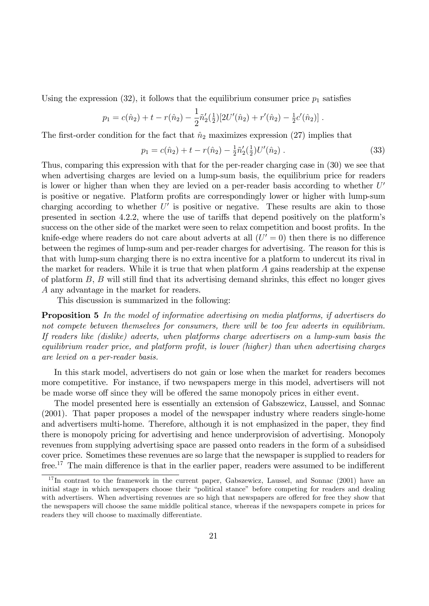Using the expression (32), it follows that the equilibrium consumer price  $p_1$  satisfies

$$
p_1 = c(\hat{n}_2) + t - r(\hat{n}_2) - \frac{1}{2}\tilde{n}'_2(\frac{1}{2})[2U'(\hat{n}_2) + r'(\hat{n}_2) - \frac{1}{2}c'(\hat{n}_2)].
$$

The first-order condition for the fact that  $\hat{n}_2$  maximizes expression (27) implies that

$$
p_1 = c(\hat{n}_2) + t - r(\hat{n}_2) - \frac{1}{2}\tilde{n}'_2(\frac{1}{2})U'(\hat{n}_2).
$$
 (33)

Thus, comparing this expression with that for the per-reader charging case in (30) we see that when advertising charges are levied on a lump-sum basis, the equilibrium price for readers is lower or higher than when they are levied on a per-reader basis according to whether  $U'$ is positive or negative. Platform profits are correspondingly lower or higher with lump-sum charging according to whether  $U'$  is positive or negative. These results are akin to those presented in section 4.2.2, where the use of tariffs that depend positively on the platform's success on the other side of the market were seen to relax competition and boost profits. In the knife-edge where readers do not care about adverts at all  $(U' = 0)$  then there is no difference between the regimes of lump-sum and per-reader charges for advertising. The reason for this is that with lump-sum charging there is no extra incentive for a platform to undercut its rival in the market for readers. While it is true that when platform A gains readership at the expense of platform  $B$ ,  $B$  will still find that its advertising demand shrinks, this effect no longer gives A any advantage in the market for readers.

This discussion is summarized in the following:

**Proposition 5** In the model of informative advertising on media platforms, if advertisers do not compete between themselves for consumers, there will be too few adverts in equilibrium. If readers like (dislike) adverts, when platforms charge advertisers on a lump-sum basis the  $equilibrium\ reader\ price, and platform\nprofile, is lower (higher) than when advertising charges$ are levied on a per-reader basis.

In this stark model, advertisers do not gain or lose when the market for readers becomes more competitive. For instance, if two newspapers merge in this model, advertisers will not be made worse off since they will be offered the same monopoly prices in either event.

The model presented here is essentially an extension of Gabszewicz, Laussel, and Sonnac (2001). That paper proposes a model of the newspaper industry where readers single-home and advertisers multi-home. Therefore, although it is not emphasized in the paper, they find there is monopoly pricing for advertising and hence underprovision of advertising. Monopoly revenues from supplying advertising space are passed onto readers in the form of a subsidised cover price. Sometimes these revenues are so large that the newspaper is supplied to readers for free.<sup>17</sup> The main difference is that in the earlier paper, readers were assumed to be indifferent

<sup>&</sup>lt;sup>17</sup>In contrast to the framework in the current paper, Gabszewicz, Laussel, and Sonnac (2001) have an initial stage in which newspapers choose their "political stance" before competing for readers and dealing with advertisers. When advertising revenues are so high that newspapers are offered for free they show that the newspapers will choose the same middle political stance, whereas if the newspapers compete in prices for readers they will choose to maximally differentiate.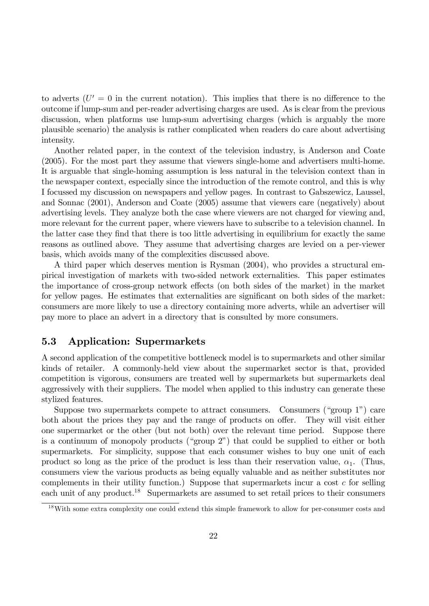to adverts  $(U' = 0$  in the current notation). This implies that there is no difference to the outcome if lump-sum and per-reader advertising charges are used. As is clear from the previous discussion, when platforms use lump-sum advertising charges (which is arguably the more plausible scenario) the analysis is rather complicated when readers do care about advertising intensity.

Another related paper, in the context of the television industry, is Anderson and Coate (2005). For the most part they assume that viewers single-home and advertisers multi-home. It is arguable that single-homing assumption is less natural in the television context than in the newspaper context, especially since the introduction of the remote control, and this is why I focussed my discussion on newspapers and yellow pages. In contrast to Gabszewicz, Laussel, and Sonnac (2001), Anderson and Coate (2005) assume that viewers care (negatively) about advertising levels. They analyze both the case where viewers are not charged for viewing and, more relevant for the current paper, where viewers have to subscribe to a television channel. In the latter case they find that there is too little advertising in equilibrium for exactly the same reasons as outlined above. They assume that advertising charges are levied on a per-viewer basis, which avoids many of the complexities discussed above.

A third paper which deserves mention is Rysman (2004), who provides a structural empirical investigation of markets with two-sided network externalities. This paper estimates the importance of cross-group network effects (on both sides of the market) in the market for yellow pages. He estimates that externalities are significant on both sides of the market: consumers are more likely to use a directory containing more adverts, while an advertiser will pay more to place an advert in a directory that is consulted by more consumers.

### 5.3 Application: Supermarkets

A second application of the competitive bottleneck model is to supermarkets and other similar kinds of retailer. A commonly-held view about the supermarket sector is that, provided competition is vigorous, consumers are treated well by supermarkets but supermarkets deal aggressively with their suppliers. The model when applied to this industry can generate these stylized features.

Suppose two supermarkets compete to attract consumers. Consumers ("group  $1$ ") care both about the prices they pay and the range of products on offer. They will visit either one supermarket or the other (but not both) over the relevant time period. Suppose there is a continuum of monopoly products ("group  $2$ ") that could be supplied to either or both supermarkets. For simplicity, suppose that each consumer wishes to buy one unit of each product so long as the price of the product is less than their reservation value,  $\alpha_1$ . (Thus, consumers view the various products as being equally valuable and as neither substitutes nor complements in their utility function.) Suppose that supermarkets incur a cost  $c$  for selling each unit of any product.<sup>18</sup> Supermarkets are assumed to set retail prices to their consumers

<sup>&</sup>lt;sup>18</sup>With some extra complexity one could extend this simple framework to allow for per-consumer costs and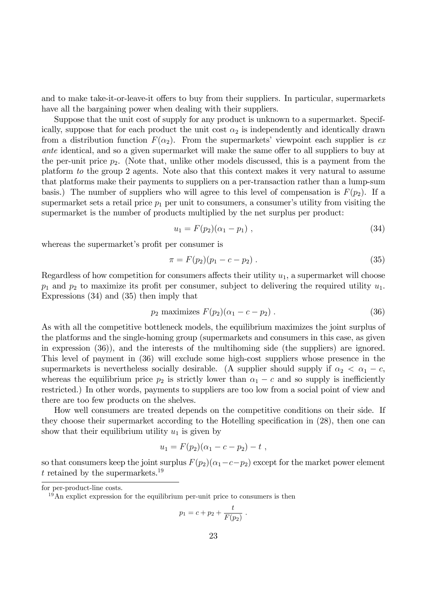and to make take-it-or-leave-it offers to buy from their suppliers. In particular, supermarkets have all the bargaining power when dealing with their suppliers.

Suppose that the unit cost of supply for any product is unknown to a supermarket. Specifically, suppose that for each product the unit cost  $\alpha_2$  is independently and identically drawn from a distribution function  $F(\alpha_2)$ . From the supermarkets' viewpoint each supplier is exante identical, and so a given supermarket will make the same offer to all suppliers to buy at the per-unit price  $p_2$ . (Note that, unlike other models discussed, this is a payment from the platform to the group 2 agents. Note also that this context makes it very natural to assume that platforms make their payments to suppliers on a per-transaction rather than a lump-sum basis.) The number of suppliers who will agree to this level of compensation is  $F(p_2)$ . If a supermarket sets a retail price  $p_1$  per unit to consumers, a consumer's utility from visiting the supermarket is the number of products multiplied by the net surplus per product:

$$
u_1 = F(p_2)(\alpha_1 - p_1) \tag{34}
$$

whereas the supermarket's profit per consumer is

$$
\pi = F(p_2)(p_1 - c - p_2) \tag{35}
$$

Regardless of how competition for consumers affects their utility  $u_1$ , a supermarket will choose  $p_1$  and  $p_2$  to maximize its profit per consumer, subject to delivering the required utility  $u_1$ . Expressions (34) and (35) then imply that

$$
p_2 \text{ maximizes } F(p_2)(\alpha_1 - c - p_2) \,. \tag{36}
$$

As with all the competitive bottleneck models, the equilibrium maximizes the joint surplus of the platforms and the single-homing group (supermarkets and consumers in this case, as given in expression (36)), and the interests of the multihoming side (the suppliers) are ignored. This level of payment in (36) will exclude some high-cost suppliers whose presence in the supermarkets is nevertheless socially desirable. (A supplier should supply if  $\alpha_2 < \alpha_1 - c$ , whereas the equilibrium price  $p_2$  is strictly lower than  $\alpha_1 - c$  and so supply is inefficiently restricted.) In other words, payments to suppliers are too low from a social point of view and there are too few products on the shelves.

How well consumers are treated depends on the competitive conditions on their side. If they choose their supermarket according to the Hotelling specification in  $(28)$ , then one can show that their equilibrium utility  $u_1$  is given by

$$
u_1 = F(p_2)(\alpha_1 - c - p_2) - t \; ,
$$

so that consumers keep the joint surplus  $F(p_2)(\alpha_1-c-p_2)$  except for the market power element t retained by the supermarkets.<sup>19</sup>

$$
p_1 = c + p_2 + \frac{t}{F(p_2)}.
$$

for per-product-line costs.

<sup>19</sup>An explict expression for the equilibrium per-unit price to consumers is then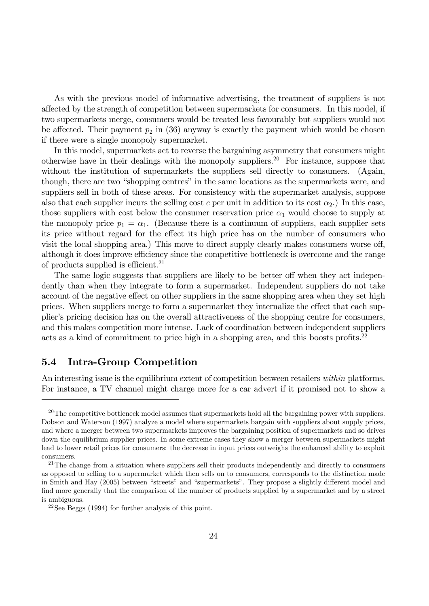As with the previous model of informative advertising, the treatment of suppliers is not affected by the strength of competition between supermarkets for consumers. In this model, if two supermarkets merge, consumers would be treated less favourably but suppliers would not be affected. Their payment  $p_2$  in (36) anyway is exactly the payment which would be chosen if there were a single monopoly supermarket.

In this model, supermarkets act to reverse the bargaining asymmetry that consumers might otherwise have in their dealings with the monopoly suppliers.<sup>20</sup> For instance, suppose that without the institution of supermarkets the suppliers sell directly to consumers. (Again, though, there are two "shopping centres" in the same locations as the supermarkets were, and suppliers sell in both of these areas. For consistency with the supermarket analysis, suppose also that each supplier incurs the selling cost c per unit in addition to its cost  $\alpha_2$ .) In this case, those suppliers with cost below the consumer reservation price  $\alpha_1$  would choose to supply at the monopoly price  $p_1 = \alpha_1$ . (Because there is a continuum of suppliers, each supplier sets its price without regard for the effect its high price has on the number of consumers who visit the local shopping area.) This move to direct supply clearly makes consumers worse off, although it does improve efficiency since the competitive bottleneck is overcome and the range of products supplied is efficient.<sup>21</sup>

The same logic suggests that suppliers are likely to be better of twhen they act independently than when they integrate to form a supermarket. Independent suppliers do not take account of the negative effect on other suppliers in the same shopping area when they set high prices. When suppliers merge to form a supermarket they internalize the effect that each supplier's pricing decision has on the overall attractiveness of the shopping centre for consumers, and this makes competition more intense. Lack of coordination between independent suppliers acts as a kind of commitment to price high in a shopping area, and this boosts profits.<sup>22</sup>

## 5.4 Intra-Group Competition

An interesting issue is the equilibrium extent of competition between retailers within platforms. For instance, a TV channel might charge more for a car advert if it promised not to show a

 $^{20}$ The competitive bottleneck model assumes that supermarkets hold all the bargaining power with suppliers. Dobson and Waterson (1997) analyze a model where supermarkets bargain with suppliers about supply prices, and where a merger between two supermarkets improves the bargaining position of supermarkets and so drives down the equilibrium supplier prices. In some extreme cases they show a merger between supermarkets might lead to lower retail prices for consumers: the decrease in input prices outweighs the enhanced ability to exploit consumers.

 $21$ The change from a situation where suppliers sell their products independently and directly to consumers as opposed to selling to a supermarket which then sells on to consumers, corresponds to the distinction made in Smith and Hay (2005) between "streets" and "supermarkets". They propose a slightly different model and find more generally that the comparison of the number of products supplied by a supermarket and by a street is ambiguous.

<sup>22</sup>See Beggs (1994) for further analysis of this point.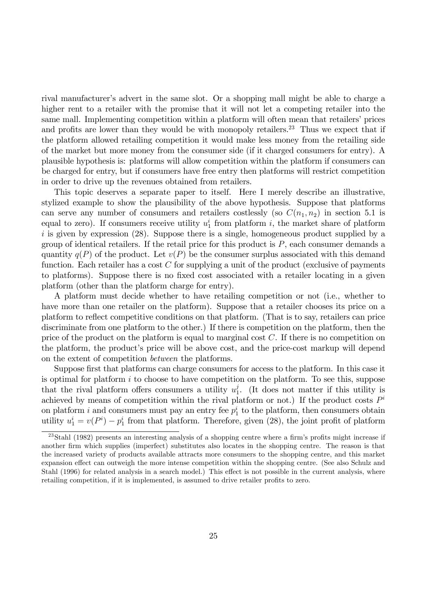rival manufacturerís advert in the same slot. Or a shopping mall might be able to charge a higher rent to a retailer with the promise that it will not let a competing retailer into the same mall. Implementing competition within a platform will often mean that retailers' prices and profits are lower than they would be with monopoly retailers.<sup>23</sup> Thus we expect that if the platform allowed retailing competition it would make less money from the retailing side of the market but more money from the consumer side (if it charged consumers for entry). A plausible hypothesis is: platforms will allow competition within the platform if consumers can be charged for entry, but if consumers have free entry then platforms will restrict competition in order to drive up the revenues obtained from retailers.

This topic deserves a separate paper to itself. Here I merely describe an illustrative, stylized example to show the plausibility of the above hypothesis. Suppose that platforms can serve any number of consumers and retailers costlessly (so  $C(n_1, n_2)$ ) in section 5.1 is equal to zero). If consumers receive utility  $u_1^i$  from platform i, the market share of platform  $i$  is given by expression (28). Suppose there is a single, homogeneous product supplied by a group of identical retailers. If the retail price for this product is  $P$ , each consumer demands a quantity  $q(P)$  of the product. Let  $v(P)$  be the consumer surplus associated with this demand function. Each retailer has a cost  $C$  for supplying a unit of the product (exclusive of payments to platforms). Suppose there is no fixed cost associated with a retailer locating in a given platform (other than the platform charge for entry).

A platform must decide whether to have retailing competition or not (i.e., whether to have more than one retailer on the platform). Suppose that a retailer chooses its price on a platform to reflect competitive conditions on that platform. (That is to say, retailers can price discriminate from one platform to the other.) If there is competition on the platform, then the price of the product on the platform is equal to marginal cost  $C$ . If there is no competition on the platform, the product's price will be above cost, and the price-cost markup will depend on the extent of competition between the platforms.

Suppose first that platforms can charge consumers for access to the platform. In this case it is optimal for platform  $i$  to choose to have competition on the platform. To see this, suppose that the rival platform offers consumers a utility  $u_1^j$  $i<sub>1</sub>$ . (It does not matter if this utility is achieved by means of competition within the rival platform or not.) If the product costs  $P^i$ on platform *i* and consumers must pay an entry fee  $p_1^i$  to the platform, then consumers obtain utility  $u_1^i = v(P^i) - p_1^i$  from that platform. Therefore, given (28), the joint profit of platform

 $^{23}$ Stahl (1982) presents an interesting analysis of a shopping centre where a firm's profits might increase if another Örm which supplies (imperfect) substitutes also locates in the shopping centre. The reason is that the increased variety of products available attracts more consumers to the shopping centre, and this market expansion effect can outweigh the more intense competition within the shopping centre. (See also Schulz and Stahl (1996) for related analysis in a search model.) This effect is not possible in the current analysis, where retailing competition, if it is implemented, is assumed to drive retailer profits to zero.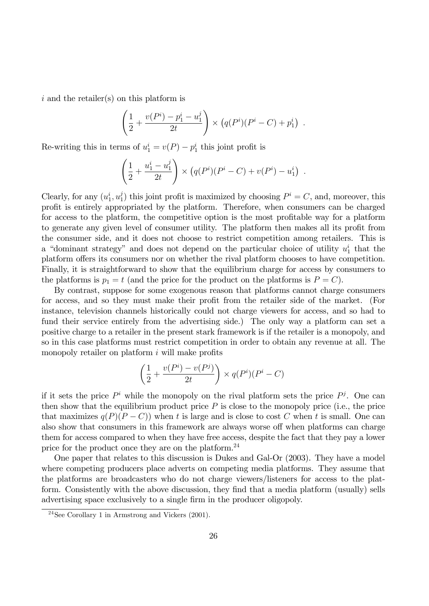i and the retailer(s) on this platform is

$$
\left(\frac{1}{2} + \frac{v(P^i) - p_1^i - u_1^j}{2t}\right) \times \left(q(P^i)(P^i - C) + p_1^i\right) .
$$

Re-writing this in terms of  $u_1^i = v(P) - p_1^i$  this joint profit is

$$
\left(\frac{1}{2} + \frac{u_1^i - u_1^j}{2t}\right) \times \left(q(P^i)(P^i - C) + v(P^i) - u_1^i\right) .
$$

Clearly, for any  $(u_1^i, u_1^j)$  $\binom{j}{1}$  this joint profit is maximized by choosing  $P^i = C$ , and, moreover, this profit is entirely appropriated by the platform. Therefore, when consumers can be charged for access to the platform, the competitive option is the most profitable way for a platform to generate any given level of consumer utility. The platform then makes all its profit from the consumer side, and it does not choose to restrict competition among retailers. This is a "dominant strategy" and does not depend on the particular choice of utility  $u_1^i$  that the platform offers its consumers nor on whether the rival platform chooses to have competition. Finally, it is straightforward to show that the equilibrium charge for access by consumers to the platforms is  $p_1 = t$  (and the price for the product on the platforms is  $P = C$ ).

By contrast, suppose for some exogenous reason that platforms cannot charge consumers for access, and so they must make their profit from the retailer side of the market. (For instance, television channels historically could not charge viewers for access, and so had to fund their service entirely from the advertising side.) The only way a platform can set a positive charge to a retailer in the present stark framework is if the retailer is a monopoly, and so in this case platforms must restrict competition in order to obtain any revenue at all. The monopoly retailer on platform  $i$  will make profits

$$
\left(\frac{1}{2} + \frac{v(P^i) - v(P^j)}{2t}\right) \times q(P^i)(P^i - C)
$$

if it sets the price  $P^i$  while the monopoly on the rival platform sets the price  $P^j$ . One can then show that the equilibrium product price  $P$  is close to the monopoly price (i.e., the price that maximizes  $q(P)(P - C)$ ) when t is large and is close to cost C when t is small. One can also show that consumers in this framework are always worse off when platforms can charge them for access compared to when they have free access, despite the fact that they pay a lower price for the product once they are on the platform.<sup>24</sup>

One paper that relates to this discussion is Dukes and Gal-Or (2003). They have a model where competing producers place adverts on competing media platforms. They assume that the platforms are broadcasters who do not charge viewers/listeners for access to the platform. Consistently with the above discussion, they find that a media platform (usually) sells advertising space exclusively to a single firm in the producer oligopoly.

 $24$ See Corollary 1 in Armstrong and Vickers (2001).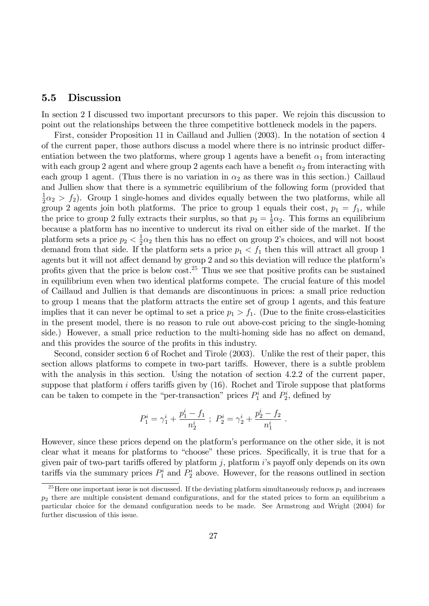### 5.5 Discussion

In section 2 I discussed two important precursors to this paper. We rejoin this discussion to point out the relationships between the three competitive bottleneck models in the papers.

First, consider Proposition 11 in Caillaud and Jullien (2003). In the notation of section 4 of the current paper, those authors discuss a model where there is no intrinsic product differentiation between the two platforms, where group 1 agents have a benefit  $\alpha_1$  from interacting with each group 2 agent and where group 2 agents each have a benefit  $\alpha_2$  from interacting with each group 1 agent. (Thus there is no variation in  $\alpha_2$  as there was in this section.) Caillaud and Jullien show that there is a symmetric equilibrium of the following form (provided that 1  $\frac{1}{2}\alpha_2 > f_2$ ). Group 1 single-homes and divides equally between the two platforms, while all group 2 agents join both platforms. The price to group 1 equals their cost,  $p_1 = f_1$ , while the price to group 2 fully extracts their surplus, so that  $p_2 = \frac{1}{2}$  $\frac{1}{2}\alpha_2$ . This forms an equilibrium because a platform has no incentive to undercut its rival on either side of the market. If the platform sets a price  $p_2 < \frac{1}{2}$  $\frac{1}{2}\alpha_2$  then this has no effect on group 2's choices, and will not boost demand from that side. If the platform sets a price  $p_1 < f_1$  then this will attract all group 1 agents but it will not affect demand by group 2 and so this deviation will reduce the platform's profits given that the price is below  $\cos t$ <sup>25</sup>. Thus we see that positive profits can be sustained in equilibrium even when two identical platforms compete. The crucial feature of this model of Caillaud and Jullien is that demands are discontinuous in prices: a small price reduction to group 1 means that the platform attracts the entire set of group 1 agents, and this feature implies that it can never be optimal to set a price  $p_1 > f_1$ . (Due to the finite cross-elasticities in the present model, there is no reason to rule out above-cost pricing to the single-homing side.) However, a small price reduction to the multi-homing side has no affect on demand, and this provides the source of the profits in this industry.

Second, consider section 6 of Rochet and Tirole (2003). Unlike the rest of their paper, this section allows platforms to compete in two-part tariffs. However, there is a subtle problem with the analysis in this section. Using the notation of section 4.2.2 of the current paper, suppose that platform i offers tariffs given by  $(16)$ . Rochet and Tirole suppose that platforms can be taken to compete in the "per-transaction" prices  $P_1^i$  and  $P_2^i$ , defined by

$$
P_1^i = \gamma_1^i + \frac{p_1^i - f_1}{n_2^i} \; ; \; P_2^i = \gamma_2^i + \frac{p_2^i - f_2}{n_1^i} \; .
$$

However, since these prices depend on the platform's performance on the other side, it is not clear what it means for platforms to "choose" these prices. Specifically, it is true that for a given pair of two-part tariffs offered by platform j, platform  $i$ 's payoff only depends on its own tariffs via the summary prices  $P_1^i$  and  $P_2^i$  above. However, for the reasons outlined in section

<sup>&</sup>lt;sup>25</sup>Here one important issue is not discussed. If the deviating platform simultaneously reduces  $p_1$  and increases  $p_2$  there are multiple consistent demand configurations, and for the stated prices to form an equilibrium a particular choice for the demand configuration needs to be made. See Armstrong and Wright (2004) for further discussion of this issue.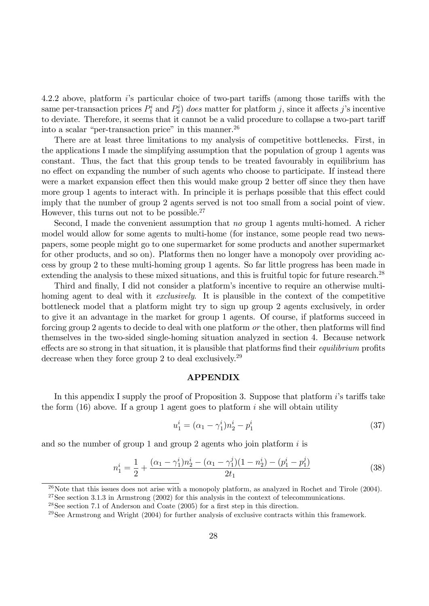4.2.2 above, platform  $i$ 's particular choice of two-part tariffs (among those tariffs with the same per-transaction prices  $P_1^i$  and  $P_2^i$ ) does matter for platform j, since it affects j's incentive to deviate. Therefore, it seems that it cannot be a valid procedure to collapse a two-part tariff into a scalar "per-transaction price" in this manner.<sup>26</sup>

There are at least three limitations to my analysis of competitive bottlenecks. First, in the applications I made the simplifying assumption that the population of group 1 agents was constant. Thus, the fact that this group tends to be treated favourably in equilibrium has no effect on expanding the number of such agents who choose to participate. If instead there were a market expansion effect then this would make group 2 better off since they then have more group 1 agents to interact with. In principle it is perhaps possible that this effect could imply that the number of group 2 agents served is not too small from a social point of view. However, this turns out not to be possible.<sup>27</sup>

Second, I made the convenient assumption that no group 1 agents multi-homed. A richer model would allow for some agents to multi-home (for instance, some people read two newspapers, some people might go to one supermarket for some products and another supermarket for other products, and so on). Platforms then no longer have a monopoly over providing access by group 2 to these multi-homing group 1 agents. So far little progress has been made in extending the analysis to these mixed situations, and this is fruitful topic for future research.<sup>28</sup>

Third and finally, I did not consider a platform's incentive to require an otherwise multihoming agent to deal with it *exclusively*. It is plausible in the context of the competitive bottleneck model that a platform might try to sign up group 2 agents exclusively, in order to give it an advantage in the market for group 1 agents. Of course, if platforms succeed in forcing group 2 agents to decide to deal with one platform or the other, then platforms will find themselves in the two-sided single-homing situation analyzed in section 4. Because network effects are so strong in that situation, it is plausible that platforms find their *equilibrium* profits decrease when they force group 2 to deal exclusively.<sup>29</sup>

#### APPENDIX

In this appendix I supply the proof of Proposition 3. Suppose that platform  $i$ 's tariffs take the form  $(16)$  above. If a group 1 agent goes to platform i she will obtain utility

$$
u_1^i = (\alpha_1 - \gamma_1^i) n_2^i - p_1^i \tag{37}
$$

and so the number of group 1 and group 2 agents who join platform  $i$  is

$$
n_1^i = \frac{1}{2} + \frac{(\alpha_1 - \gamma_1^i)n_2^i - (\alpha_1 - \gamma_1^j)(1 - n_2^i) - (p_1^i - p_1^j)}{2t_1}
$$
\n(38)

 $26$ Note that this issues does not arise with a monopoly platform, as analyzed in Rochet and Tirole (2004).

 $27$ See section 3.1.3 in Armstrong (2002) for this analysis in the context of telecommunications.

<sup>&</sup>lt;sup>28</sup>See section 7.1 of Anderson and Coate  $(2005)$  for a first step in this direction.

<sup>&</sup>lt;sup>29</sup>See Armstrong and Wright  $(2004)$  for further analysis of exclusive contracts within this framework.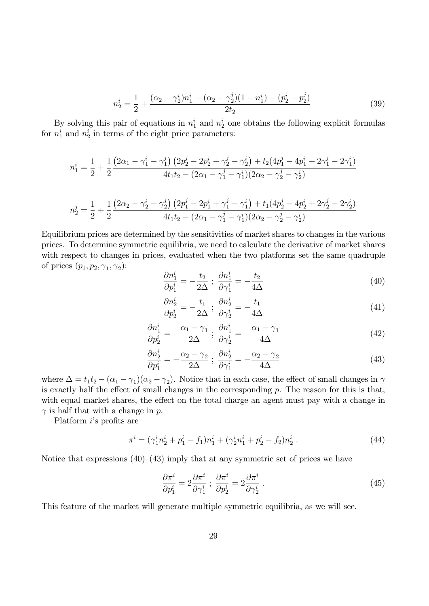$$
n_2^i = \frac{1}{2} + \frac{(\alpha_2 - \gamma_2^i)n_1^i - (\alpha_2 - \gamma_2^j)(1 - n_1^i) - (p_2^i - p_2^j)}{2t_2}
$$
\n(39)

By solving this pair of equations in  $n_1^i$  and  $n_2^i$  one obtains the following explicit formulas for  $n_1^i$  and  $n_2^i$  in terms of the eight price parameters:

$$
n_1^i = \frac{1}{2} + \frac{1}{2} \frac{\left(2\alpha_1 - \gamma_1^i - \gamma_1^j\right)\left(2p_2^j - 2p_2^i + \gamma_2^j - \gamma_2^i\right) + t_2(4p_1^j - 4p_1^i + 2\gamma_1^j - 2\gamma_1^i)}{4t_1t_2 - (2\alpha_1 - \gamma_1^j - \gamma_1^i)(2\alpha_2 - \gamma_2^j - \gamma_2^i)}
$$

$$
n_2^j = \frac{1}{2} + \frac{1}{2} \frac{\left(2\alpha_2 - \gamma_2^i - \gamma_2^j\right)\left(2p_1^j - 2p_1^i + \gamma_1^j - \gamma_1^i\right) + t_1(4p_2^j - 4p_2^i + 2\gamma_2^j - 2\gamma_2^i)}{4t_1t_2 - (2\alpha_1 - \gamma_1^j - \gamma_1^i)(2\alpha_2 - \gamma_2^j - \gamma_2^i)}
$$

Equilibrium prices are determined by the sensitivities of market shares to changes in the various prices. To determine symmetric equilibria, we need to calculate the derivative of market shares with respect to changes in prices, evaluated when the two platforms set the same quadruple of prices  $(p_1, p_2, \gamma_1, \gamma_2)$ :

$$
\frac{\partial n_1^i}{\partial p_1^i} = -\frac{t_2}{2\Delta} \; ; \; \frac{\partial n_1^i}{\partial \gamma_1^i} = -\frac{t_2}{4\Delta} \tag{40}
$$

$$
\frac{\partial n_2^i}{\partial p_2^i} = -\frac{t_1}{2\Delta} \; ; \; \frac{\partial n_2^i}{\partial \gamma_2^i} = -\frac{t_1}{4\Delta} \tag{41}
$$

$$
\frac{\partial n_1^i}{\partial p_2^i} = -\frac{\alpha_1 - \gamma_1}{2\Delta} \; ; \; \frac{\partial n_1^i}{\partial \gamma_2^i} = -\frac{\alpha_1 - \gamma_1}{4\Delta} \tag{42}
$$

$$
\frac{\partial n_2^i}{\partial p_1^i} = -\frac{\alpha_2 - \gamma_2}{2\Delta} \; ; \; \frac{\partial n_2^i}{\partial \gamma_1^i} = -\frac{\alpha_2 - \gamma_2}{4\Delta} \tag{43}
$$

where  $\Delta = t_1 t_2 - (\alpha_1 - \gamma_1)(\alpha_2 - \gamma_2)$ . Notice that in each case, the effect of small changes in  $\gamma$ is exactly half the effect of small changes in the corresponding  $p$ . The reason for this is that, with equal market shares, the effect on the total charge an agent must pay with a change in  $\gamma$  is half that with a change in p.

Platform  $i$ 's profits are

$$
\pi^{i} = (\gamma_1^{i} n_2^{i} + p_1^{i} - f_1) n_1^{i} + (\gamma_2^{i} n_1^{i} + p_2^{i} - f_2) n_2^{i} . \tag{44}
$$

Notice that expressions  $(40)$ – $(43)$  imply that at any symmetric set of prices we have

$$
\frac{\partial \pi^i}{\partial p_1^i} = 2 \frac{\partial \pi^i}{\partial \gamma_1^i} \; ; \; \frac{\partial \pi^i}{\partial p_2^i} = 2 \frac{\partial \pi^i}{\partial \gamma_2^i} \; . \tag{45}
$$

This feature of the market will generate multiple symmetric equilibria, as we will see.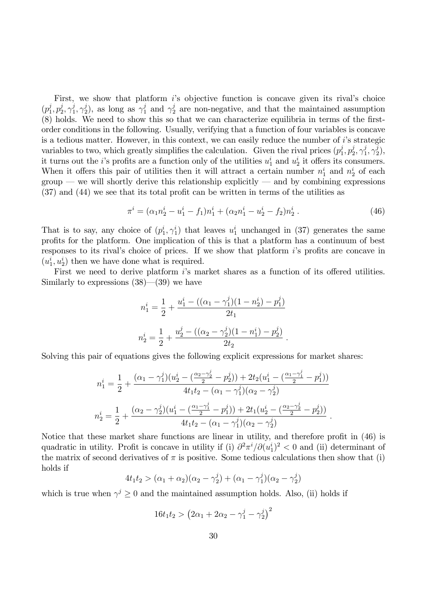First, we show that platform  $i$ 's objective function is concave given its rival's choice  $(p_1^j)$  $j\overline{1}, p_2^j$  $_{2}^{j},\gamma_{1}^{j}$  $j\overline{1},\gamma_2^j$ <sup>j</sup><sub>2</sub>), as long as  $\gamma_1^j$  and  $\gamma_2^j$  are non-negative, and that the maintained assumption  $(8)$  holds. We need to show this so that we can characterize equilibria in terms of the firstorder conditions in the following. Usually, verifying that a function of four variables is concave is a tedious matter. However, in this context, we can easily reduce the number of i's strategic variables to two, which greatly simplifies the calculation. Given the rival prices  $(p_1^j)$  $j_1^j, p_2^j$  $j\over 2,\, \gamma_1^j$  $j\over 1,\gamma_2^j$  $\binom{j}{2},$ it turns out the *i*'s profits are a function only of the utilities  $u_1^i$  and  $u_2^i$  it offers its consumers. When it offers this pair of utilities then it will attract a certain number  $n_1^i$  and  $n_2^i$  of each  $\gamma$  group – we will shortly derive this relationship explicitly – and by combining expressions  $(37)$  and  $(44)$  we see that its total profit can be written in terms of the utilities as

$$
\pi^{i} = (\alpha_1 n_2^{i} - u_1^{i} - f_1)n_1^{i} + (\alpha_2 n_1^{i} - u_2^{i} - f_2)n_2^{i}.
$$
\n(46)

That is to say, any choice of  $(p_1^i, \gamma_1^i)$  that leaves  $u_1^i$  unchanged in (37) generates the same profits for the platform. One implication of this is that a platform has a continuum of best responses to its rival's choice of prices. If we show that platform  $i$ 's profits are concave in  $(u_1^i, u_2^i)$  then we have done what is required.

First we need to derive platform  $i$ 's market shares as a function of its offered utilities. Similarly to expressions  $(38)$ — $(39)$  we have

$$
n_1^i = \frac{1}{2} + \frac{u_1^i - ((\alpha_1 - \gamma_1^j)(1 - n_2^i) - p_1^j)}{2t_1}
$$
  

$$
n_2^i = \frac{1}{2} + \frac{u_2^j - ((\alpha_2 - \gamma_2^j)(1 - n_1^i) - p_2^j)}{2t_2}.
$$

Solving this pair of equations gives the following explicit expressions for market shares:

$$
n_1^i = \frac{1}{2} + \frac{(\alpha_1 - \gamma_1^j)(u_2^i - (\frac{\alpha_2 - \gamma_2^j}{2} - p_2^j)) + 2t_2(u_1^i - (\frac{\alpha_1 - \gamma_1^j}{2} - p_1^j))}{4t_1t_2 - (\alpha_1 - \gamma_1^j)(\alpha_2 - \gamma_2^j)}
$$
  

$$
n_2^i = \frac{1}{2} + \frac{(\alpha_2 - \gamma_2^j)(u_1^i - (\frac{\alpha_1 - \gamma_1^j}{2} - p_1^j)) + 2t_1(u_2^i - (\frac{\alpha_2 - \gamma_2^j}{2} - p_2^j))}{4t_1t_2 - (\alpha_1 - \gamma_1^j)(\alpha_2 - \gamma_2^j)}.
$$

Notice that these market share functions are linear in utility, and therefore profit in  $(46)$  is quadratic in utility. Profit is concave in utility if (i)  $\partial^2 \pi^i / \partial (u_1^i)^2 < 0$  and (ii) determinant of the matrix of second derivatives of  $\pi$  is positive. Some tedious calculations then show that (i) holds if

$$
4t_1t_2 > (\alpha_1 + \alpha_2)(\alpha_2 - \gamma_2^j) + (\alpha_1 - \gamma_1^j)(\alpha_2 - \gamma_2^j)
$$

which is true when  $\gamma^j \geq 0$  and the maintained assumption holds. Also, (ii) holds if

$$
16t_1t_2 > (2\alpha_1 + 2\alpha_2 - \gamma_1^j - \gamma_2^j)^2
$$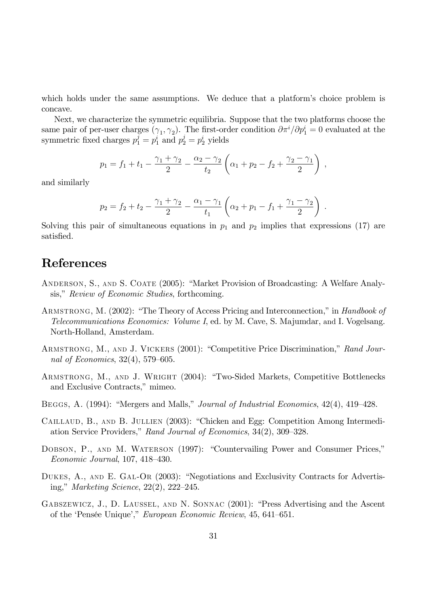which holds under the same assumptions. We deduce that a platform's choice problem is concave.

Next, we characterize the symmetric equilibria. Suppose that the two platforms choose the same pair of per-user charges  $(\gamma_1, \gamma_2)$ . The first-order condition  $\partial \pi^i / \partial p_1^i = 0$  evaluated at the symmetric fixed charges  $p_1^j = p_1^i$  and  $p_2^j = p_2^i$  yields

$$
p_1 = f_1 + t_1 - \frac{\gamma_1 + \gamma_2}{2} - \frac{\alpha_2 - \gamma_2}{t_2} \left( \alpha_1 + p_2 - f_2 + \frac{\gamma_2 - \gamma_1}{2} \right) ,
$$

and similarly

$$
p_2 = f_2 + t_2 - \frac{\gamma_1 + \gamma_2}{2} - \frac{\alpha_1 - \gamma_1}{t_1} \left( \alpha_2 + p_1 - f_1 + \frac{\gamma_1 - \gamma_2}{2} \right) .
$$

Solving this pair of simultaneous equations in  $p_1$  and  $p_2$  implies that expressions (17) are satisfied.

## References

- ANDERSON, S., AND S. COATE (2005): "Market Provision of Broadcasting: A Welfare Analysis," Review of Economic Studies, forthcoming.
- ARMSTRONG, M. (2002): "The Theory of Access Pricing and Interconnection," in Handbook of Telecommunications Economics: Volume I, ed. by M. Cave, S. Majumdar, and I. Vogelsang. North-Holland, Amsterdam.
- ARMSTRONG, M., AND J. VICKERS (2001): "Competitive Price Discrimination," Rand Journal of Economics,  $32(4)$ , 579–605.
- ARMSTRONG, M., AND J. WRIGHT (2004): "Two-Sided Markets, Competitive Bottlenecks and Exclusive Contracts," mimeo.
- BEGGS, A. (1994): "Mergers and Malls," *Journal of Industrial Economics*, 42(4), 419–428.
- CAILLAUD, B., AND B. JULLIEN (2003): "Chicken and Egg: Competition Among Intermediation Service Providers," Rand Journal of Economics, 34(2), 309–328.
- DOBSON, P., AND M. WATERSON (1997): "Countervailing Power and Consumer Prices,"  $Economic\ Journal, 107, 418–430.$
- DUKES,  $A_{\cdot}$ , AND E. GAL-OR (2003): "Negotiations and Exclusivity Contracts for Advertising," Marketing Science,  $22(2)$ ,  $222-245$ .
- GABSZEWICZ, J., D. LAUSSEL, AND N. SONNAC (2001): "Press Advertising and the Ascent of the 'Pensée Unique'," European Economic Review, 45, 641–651.